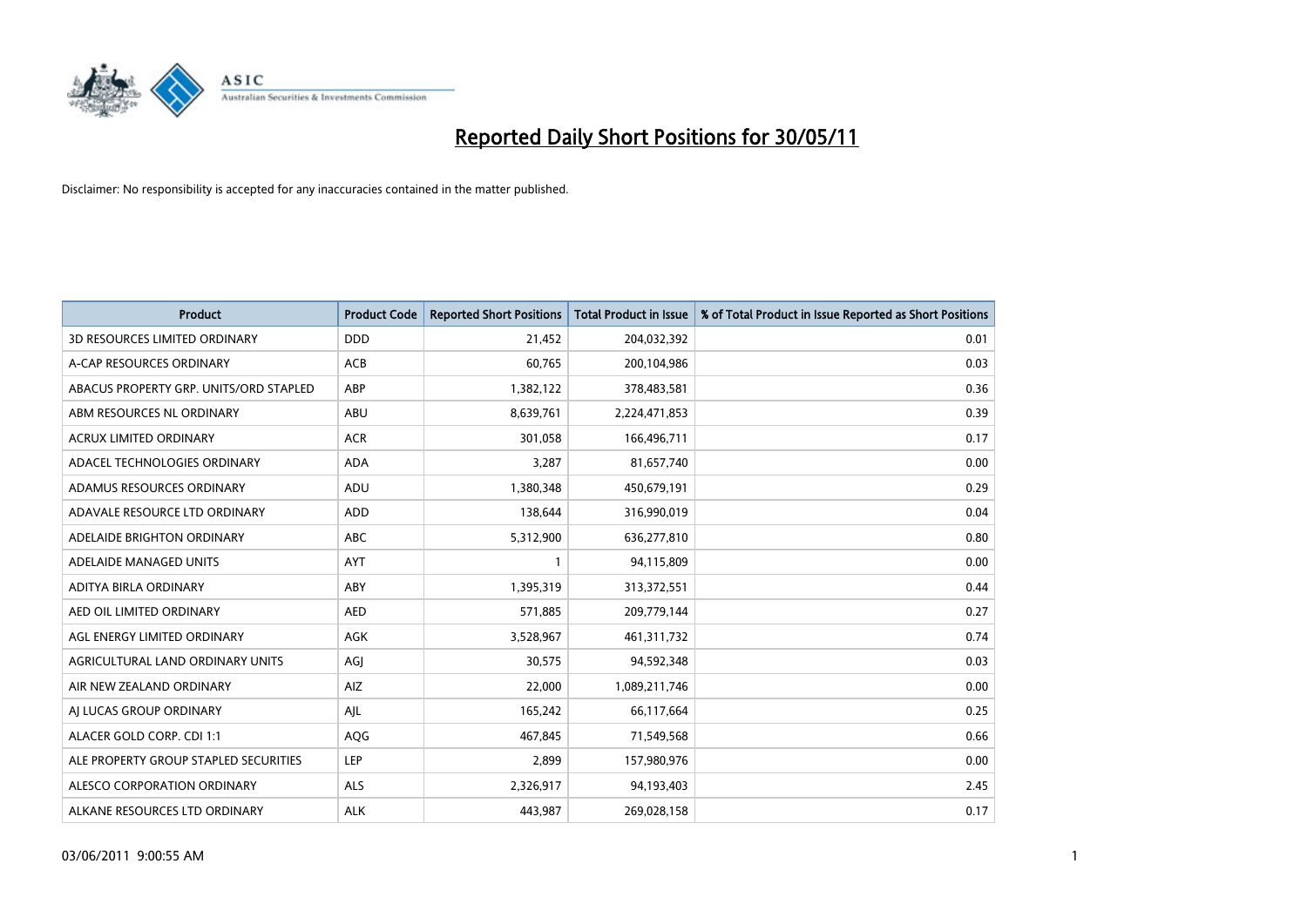

| <b>Product</b>                         | <b>Product Code</b> | <b>Reported Short Positions</b> | Total Product in Issue | % of Total Product in Issue Reported as Short Positions |
|----------------------------------------|---------------------|---------------------------------|------------------------|---------------------------------------------------------|
| <b>3D RESOURCES LIMITED ORDINARY</b>   | <b>DDD</b>          | 21,452                          | 204,032,392            | 0.01                                                    |
| A-CAP RESOURCES ORDINARY               | <b>ACB</b>          | 60,765                          | 200,104,986            | 0.03                                                    |
| ABACUS PROPERTY GRP. UNITS/ORD STAPLED | ABP                 | 1,382,122                       | 378,483,581            | 0.36                                                    |
| ABM RESOURCES NL ORDINARY              | <b>ABU</b>          | 8,639,761                       | 2,224,471,853          | 0.39                                                    |
| <b>ACRUX LIMITED ORDINARY</b>          | <b>ACR</b>          | 301,058                         | 166,496,711            | 0.17                                                    |
| ADACEL TECHNOLOGIES ORDINARY           | <b>ADA</b>          | 3,287                           | 81,657,740             | 0.00                                                    |
| ADAMUS RESOURCES ORDINARY              | ADU                 | 1,380,348                       | 450,679,191            | 0.29                                                    |
| ADAVALE RESOURCE LTD ORDINARY          | <b>ADD</b>          | 138,644                         | 316,990,019            | 0.04                                                    |
| ADELAIDE BRIGHTON ORDINARY             | <b>ABC</b>          | 5,312,900                       | 636,277,810            | 0.80                                                    |
| ADELAIDE MANAGED UNITS                 | <b>AYT</b>          |                                 | 94,115,809             | 0.00                                                    |
| ADITYA BIRLA ORDINARY                  | ABY                 | 1,395,319                       | 313,372,551            | 0.44                                                    |
| AED OIL LIMITED ORDINARY               | <b>AED</b>          | 571,885                         | 209,779,144            | 0.27                                                    |
| AGL ENERGY LIMITED ORDINARY            | <b>AGK</b>          | 3,528,967                       | 461,311,732            | 0.74                                                    |
| AGRICULTURAL LAND ORDINARY UNITS       | AGI                 | 30,575                          | 94,592,348             | 0.03                                                    |
| AIR NEW ZEALAND ORDINARY               | AIZ                 | 22,000                          | 1,089,211,746          | 0.00                                                    |
| AI LUCAS GROUP ORDINARY                | AIL                 | 165,242                         | 66,117,664             | 0.25                                                    |
| ALACER GOLD CORP. CDI 1:1              | AQG                 | 467,845                         | 71,549,568             | 0.66                                                    |
| ALE PROPERTY GROUP STAPLED SECURITIES  | LEP                 | 2,899                           | 157,980,976            | 0.00                                                    |
| ALESCO CORPORATION ORDINARY            | <b>ALS</b>          | 2,326,917                       | 94,193,403             | 2.45                                                    |
| ALKANE RESOURCES LTD ORDINARY          | <b>ALK</b>          | 443.987                         | 269,028,158            | 0.17                                                    |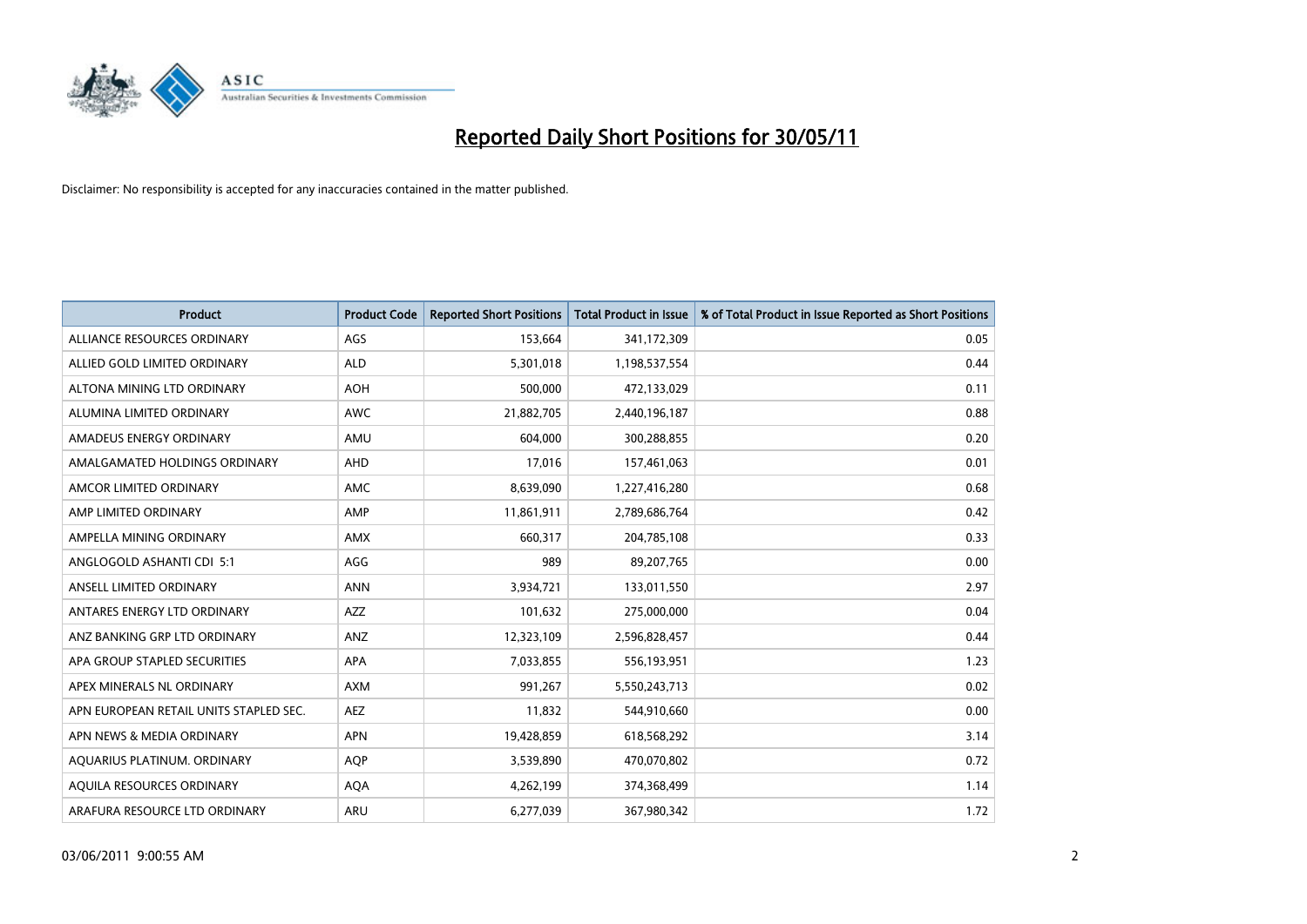

| <b>Product</b>                         | <b>Product Code</b> | <b>Reported Short Positions</b> | <b>Total Product in Issue</b> | % of Total Product in Issue Reported as Short Positions |
|----------------------------------------|---------------------|---------------------------------|-------------------------------|---------------------------------------------------------|
| ALLIANCE RESOURCES ORDINARY            | AGS                 | 153,664                         | 341,172,309                   | 0.05                                                    |
| ALLIED GOLD LIMITED ORDINARY           | <b>ALD</b>          | 5,301,018                       | 1,198,537,554                 | 0.44                                                    |
| ALTONA MINING LTD ORDINARY             | <b>AOH</b>          | 500,000                         | 472,133,029                   | 0.11                                                    |
| ALUMINA LIMITED ORDINARY               | <b>AWC</b>          | 21,882,705                      | 2,440,196,187                 | 0.88                                                    |
| AMADEUS ENERGY ORDINARY                | AMU                 | 604,000                         | 300,288,855                   | 0.20                                                    |
| AMALGAMATED HOLDINGS ORDINARY          | AHD                 | 17,016                          | 157,461,063                   | 0.01                                                    |
| AMCOR LIMITED ORDINARY                 | <b>AMC</b>          | 8,639,090                       | 1,227,416,280                 | 0.68                                                    |
| AMP LIMITED ORDINARY                   | AMP                 | 11,861,911                      | 2,789,686,764                 | 0.42                                                    |
| AMPELLA MINING ORDINARY                | <b>AMX</b>          | 660,317                         | 204,785,108                   | 0.33                                                    |
| ANGLOGOLD ASHANTI CDI 5:1              | AGG                 | 989                             | 89,207,765                    | 0.00                                                    |
| ANSELL LIMITED ORDINARY                | <b>ANN</b>          | 3,934,721                       | 133,011,550                   | 2.97                                                    |
| ANTARES ENERGY LTD ORDINARY            | <b>AZZ</b>          | 101,632                         | 275,000,000                   | 0.04                                                    |
| ANZ BANKING GRP LTD ORDINARY           | ANZ                 | 12,323,109                      | 2,596,828,457                 | 0.44                                                    |
| APA GROUP STAPLED SECURITIES           | <b>APA</b>          | 7,033,855                       | 556,193,951                   | 1.23                                                    |
| APEX MINERALS NL ORDINARY              | <b>AXM</b>          | 991,267                         | 5,550,243,713                 | 0.02                                                    |
| APN EUROPEAN RETAIL UNITS STAPLED SEC. | <b>AEZ</b>          | 11,832                          | 544,910,660                   | 0.00                                                    |
| APN NEWS & MEDIA ORDINARY              | APN                 | 19,428,859                      | 618,568,292                   | 3.14                                                    |
| AQUARIUS PLATINUM. ORDINARY            | <b>AQP</b>          | 3,539,890                       | 470,070,802                   | 0.72                                                    |
| <b>AOUILA RESOURCES ORDINARY</b>       | <b>AQA</b>          | 4,262,199                       | 374,368,499                   | 1.14                                                    |
| ARAFURA RESOURCE LTD ORDINARY          | <b>ARU</b>          | 6,277,039                       | 367,980,342                   | 1.72                                                    |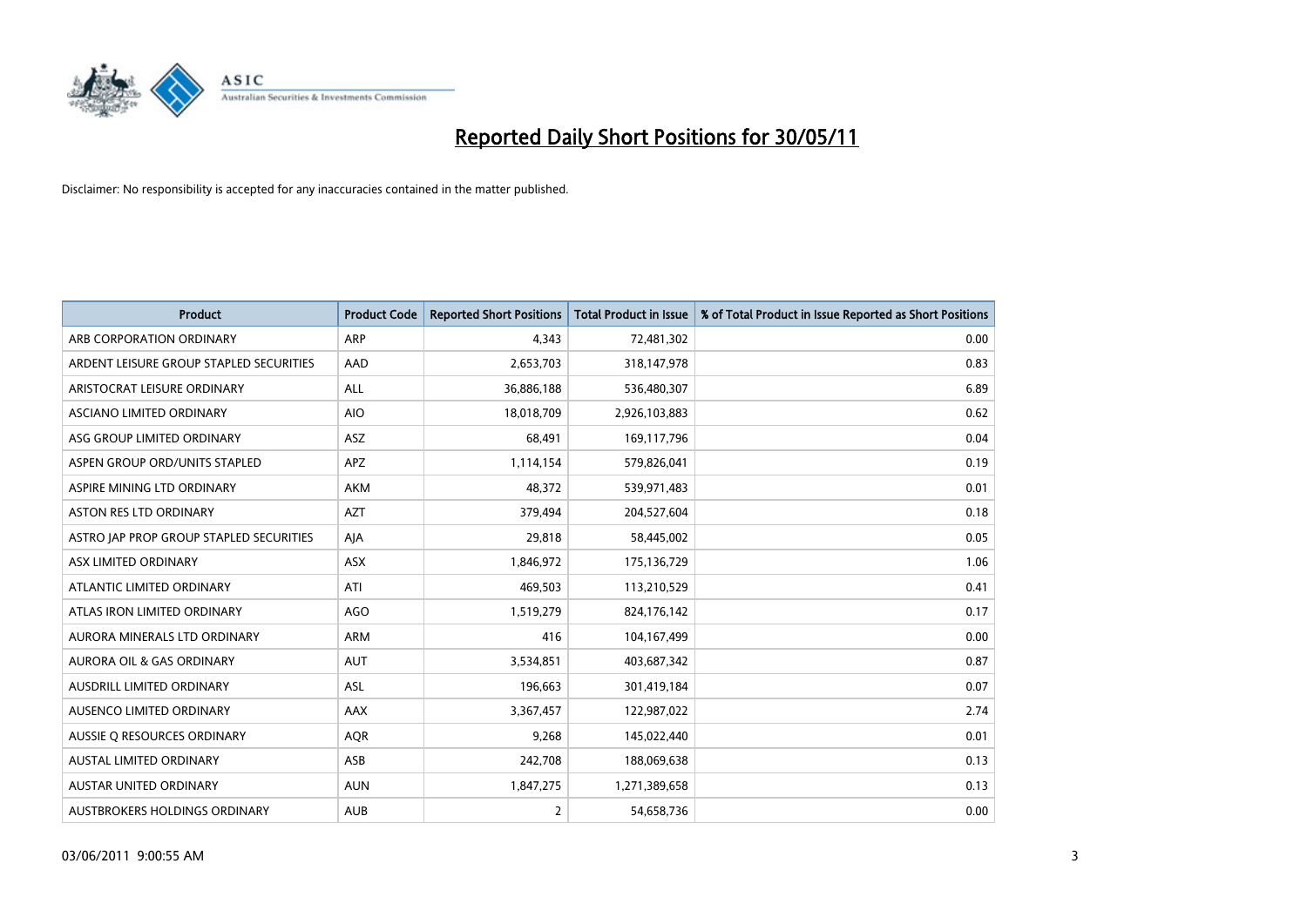

| <b>Product</b>                          | <b>Product Code</b> | <b>Reported Short Positions</b> | <b>Total Product in Issue</b> | % of Total Product in Issue Reported as Short Positions |
|-----------------------------------------|---------------------|---------------------------------|-------------------------------|---------------------------------------------------------|
| ARB CORPORATION ORDINARY                | ARP                 | 4,343                           | 72,481,302                    | 0.00                                                    |
| ARDENT LEISURE GROUP STAPLED SECURITIES | AAD                 | 2,653,703                       | 318,147,978                   | 0.83                                                    |
| ARISTOCRAT LEISURE ORDINARY             | <b>ALL</b>          | 36,886,188                      | 536,480,307                   | 6.89                                                    |
| ASCIANO LIMITED ORDINARY                | <b>AIO</b>          | 18,018,709                      | 2,926,103,883                 | 0.62                                                    |
| ASG GROUP LIMITED ORDINARY              | ASZ                 | 68,491                          | 169,117,796                   | 0.04                                                    |
| ASPEN GROUP ORD/UNITS STAPLED           | <b>APZ</b>          | 1,114,154                       | 579,826,041                   | 0.19                                                    |
| ASPIRE MINING LTD ORDINARY              | <b>AKM</b>          | 48,372                          | 539,971,483                   | 0.01                                                    |
| ASTON RES LTD ORDINARY                  | <b>AZT</b>          | 379,494                         | 204,527,604                   | 0.18                                                    |
| ASTRO JAP PROP GROUP STAPLED SECURITIES | AJA                 | 29,818                          | 58,445,002                    | 0.05                                                    |
| ASX LIMITED ORDINARY                    | ASX                 | 1,846,972                       | 175,136,729                   | 1.06                                                    |
| ATLANTIC LIMITED ORDINARY               | ATI                 | 469,503                         | 113,210,529                   | 0.41                                                    |
| ATLAS IRON LIMITED ORDINARY             | <b>AGO</b>          | 1,519,279                       | 824,176,142                   | 0.17                                                    |
| AURORA MINERALS LTD ORDINARY            | <b>ARM</b>          | 416                             | 104,167,499                   | 0.00                                                    |
| AURORA OIL & GAS ORDINARY               | <b>AUT</b>          | 3,534,851                       | 403,687,342                   | 0.87                                                    |
| <b>AUSDRILL LIMITED ORDINARY</b>        | <b>ASL</b>          | 196,663                         | 301,419,184                   | 0.07                                                    |
| AUSENCO LIMITED ORDINARY                | <b>AAX</b>          | 3,367,457                       | 122,987,022                   | 2.74                                                    |
| AUSSIE O RESOURCES ORDINARY             | <b>AQR</b>          | 9,268                           | 145,022,440                   | 0.01                                                    |
| AUSTAL LIMITED ORDINARY                 | ASB                 | 242,708                         | 188,069,638                   | 0.13                                                    |
| <b>AUSTAR UNITED ORDINARY</b>           | <b>AUN</b>          | 1,847,275                       | 1,271,389,658                 | 0.13                                                    |
| AUSTBROKERS HOLDINGS ORDINARY           | <b>AUB</b>          | $\overline{2}$                  | 54,658,736                    | 0.00                                                    |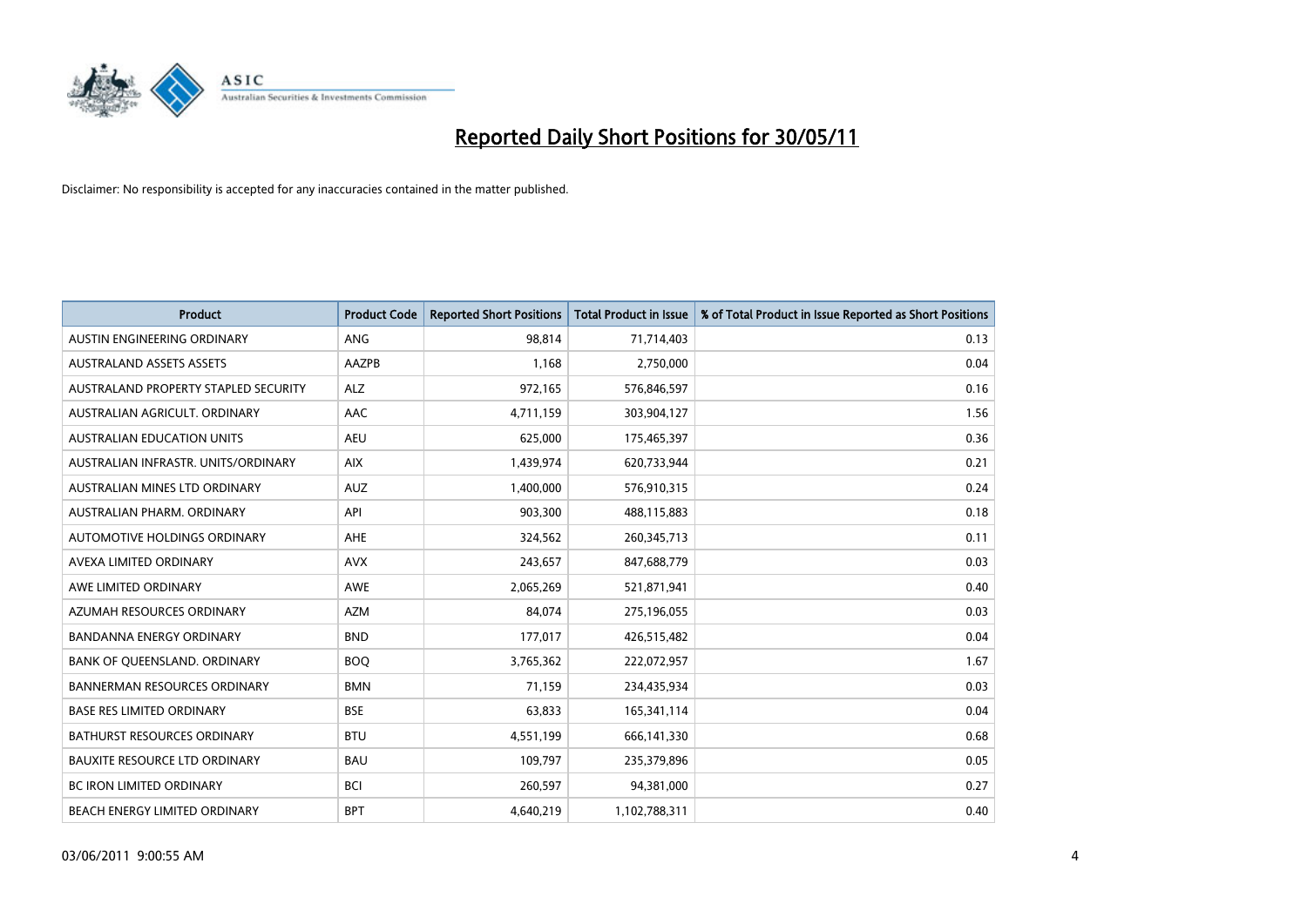

| <b>Product</b>                       | <b>Product Code</b> | <b>Reported Short Positions</b> | Total Product in Issue | % of Total Product in Issue Reported as Short Positions |
|--------------------------------------|---------------------|---------------------------------|------------------------|---------------------------------------------------------|
| <b>AUSTIN ENGINEERING ORDINARY</b>   | <b>ANG</b>          | 98,814                          | 71,714,403             | 0.13                                                    |
| <b>AUSTRALAND ASSETS ASSETS</b>      | <b>AAZPB</b>        | 1.168                           | 2,750,000              | 0.04                                                    |
| AUSTRALAND PROPERTY STAPLED SECURITY | <b>ALZ</b>          | 972,165                         | 576,846,597            | 0.16                                                    |
| AUSTRALIAN AGRICULT. ORDINARY        | AAC                 | 4,711,159                       | 303,904,127            | 1.56                                                    |
| <b>AUSTRALIAN EDUCATION UNITS</b>    | <b>AEU</b>          | 625.000                         | 175,465,397            | 0.36                                                    |
| AUSTRALIAN INFRASTR, UNITS/ORDINARY  | <b>AIX</b>          | 1,439,974                       | 620,733,944            | 0.21                                                    |
| AUSTRALIAN MINES LTD ORDINARY        | <b>AUZ</b>          | 1,400,000                       | 576,910,315            | 0.24                                                    |
| AUSTRALIAN PHARM, ORDINARY           | API                 | 903,300                         | 488,115,883            | 0.18                                                    |
| AUTOMOTIVE HOLDINGS ORDINARY         | <b>AHE</b>          | 324,562                         | 260,345,713            | 0.11                                                    |
| AVEXA LIMITED ORDINARY               | <b>AVX</b>          | 243,657                         | 847,688,779            | 0.03                                                    |
| AWE LIMITED ORDINARY                 | <b>AWE</b>          | 2,065,269                       | 521,871,941            | 0.40                                                    |
| AZUMAH RESOURCES ORDINARY            | <b>AZM</b>          | 84,074                          | 275,196,055            | 0.03                                                    |
| <b>BANDANNA ENERGY ORDINARY</b>      | <b>BND</b>          | 177,017                         | 426,515,482            | 0.04                                                    |
| BANK OF QUEENSLAND. ORDINARY         | <b>BOO</b>          | 3,765,362                       | 222,072,957            | 1.67                                                    |
| <b>BANNERMAN RESOURCES ORDINARY</b>  | <b>BMN</b>          | 71,159                          | 234,435,934            | 0.03                                                    |
| <b>BASE RES LIMITED ORDINARY</b>     | <b>BSE</b>          | 63,833                          | 165,341,114            | 0.04                                                    |
| <b>BATHURST RESOURCES ORDINARY</b>   | <b>BTU</b>          | 4,551,199                       | 666,141,330            | 0.68                                                    |
| <b>BAUXITE RESOURCE LTD ORDINARY</b> | <b>BAU</b>          | 109,797                         | 235,379,896            | 0.05                                                    |
| <b>BC IRON LIMITED ORDINARY</b>      | <b>BCI</b>          | 260,597                         | 94,381,000             | 0.27                                                    |
| BEACH ENERGY LIMITED ORDINARY        | <b>BPT</b>          | 4,640,219                       | 1,102,788,311          | 0.40                                                    |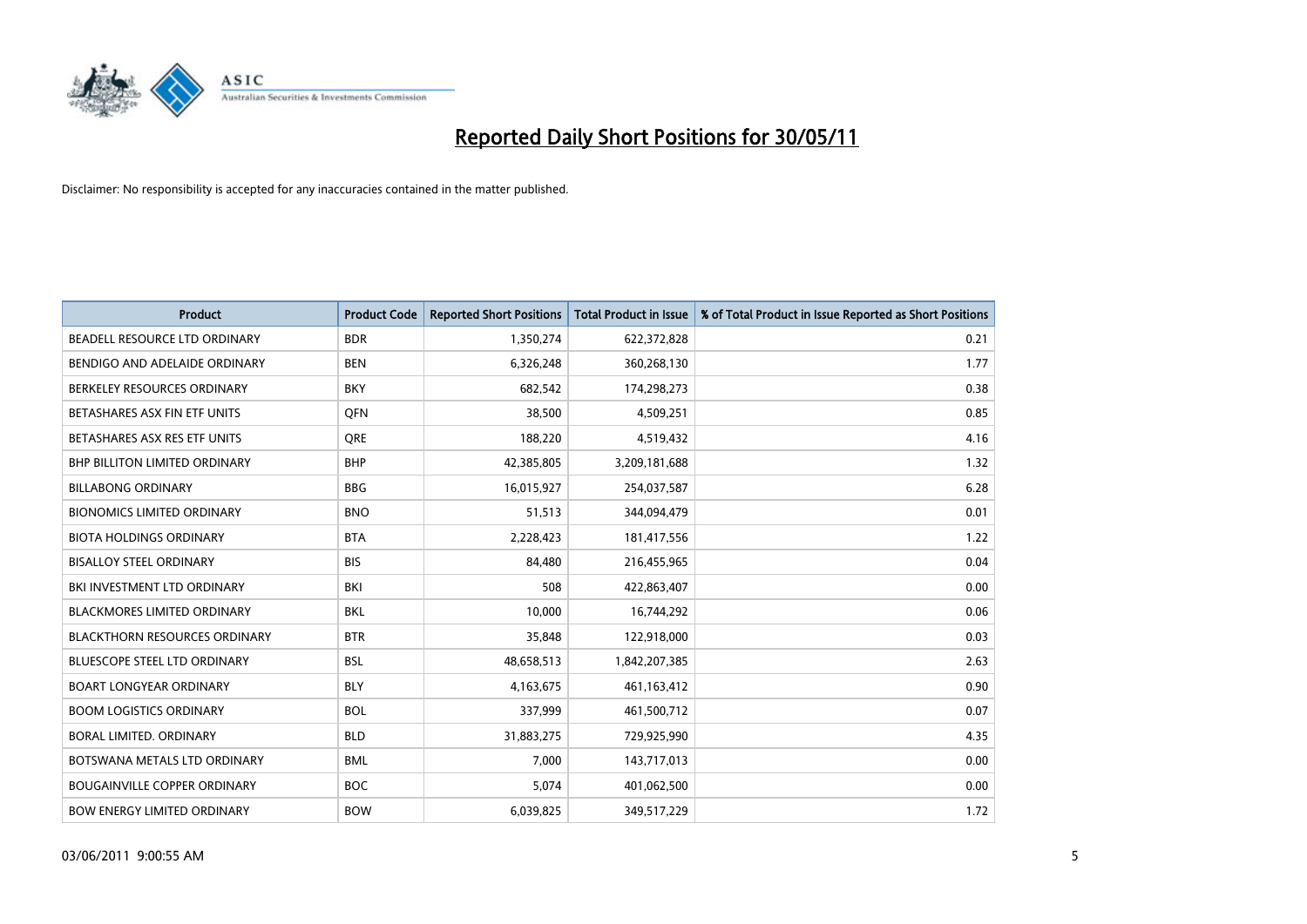

| <b>Product</b>                       | <b>Product Code</b> | <b>Reported Short Positions</b> | <b>Total Product in Issue</b> | % of Total Product in Issue Reported as Short Positions |
|--------------------------------------|---------------------|---------------------------------|-------------------------------|---------------------------------------------------------|
| BEADELL RESOURCE LTD ORDINARY        | <b>BDR</b>          | 1,350,274                       | 622,372,828                   | 0.21                                                    |
| BENDIGO AND ADELAIDE ORDINARY        | <b>BEN</b>          | 6,326,248                       | 360,268,130                   | 1.77                                                    |
| BERKELEY RESOURCES ORDINARY          | <b>BKY</b>          | 682,542                         | 174,298,273                   | 0.38                                                    |
| BETASHARES ASX FIN ETF UNITS         | <b>OFN</b>          | 38,500                          | 4,509,251                     | 0.85                                                    |
| BETASHARES ASX RES ETF UNITS         | <b>ORE</b>          | 188,220                         | 4,519,432                     | 4.16                                                    |
| <b>BHP BILLITON LIMITED ORDINARY</b> | <b>BHP</b>          | 42,385,805                      | 3,209,181,688                 | 1.32                                                    |
| <b>BILLABONG ORDINARY</b>            | <b>BBG</b>          | 16,015,927                      | 254,037,587                   | 6.28                                                    |
| <b>BIONOMICS LIMITED ORDINARY</b>    | <b>BNO</b>          | 51,513                          | 344,094,479                   | 0.01                                                    |
| <b>BIOTA HOLDINGS ORDINARY</b>       | <b>BTA</b>          | 2,228,423                       | 181,417,556                   | 1.22                                                    |
| <b>BISALLOY STEEL ORDINARY</b>       | <b>BIS</b>          | 84,480                          | 216,455,965                   | 0.04                                                    |
| BKI INVESTMENT LTD ORDINARY          | <b>BKI</b>          | 508                             | 422,863,407                   | 0.00                                                    |
| <b>BLACKMORES LIMITED ORDINARY</b>   | <b>BKL</b>          | 10,000                          | 16,744,292                    | 0.06                                                    |
| <b>BLACKTHORN RESOURCES ORDINARY</b> | <b>BTR</b>          | 35,848                          | 122,918,000                   | 0.03                                                    |
| <b>BLUESCOPE STEEL LTD ORDINARY</b>  | <b>BSL</b>          | 48,658,513                      | 1,842,207,385                 | 2.63                                                    |
| <b>BOART LONGYEAR ORDINARY</b>       | <b>BLY</b>          | 4,163,675                       | 461,163,412                   | 0.90                                                    |
| <b>BOOM LOGISTICS ORDINARY</b>       | <b>BOL</b>          | 337,999                         | 461,500,712                   | 0.07                                                    |
| BORAL LIMITED. ORDINARY              | <b>BLD</b>          | 31,883,275                      | 729,925,990                   | 4.35                                                    |
| BOTSWANA METALS LTD ORDINARY         | <b>BML</b>          | 7,000                           | 143,717,013                   | 0.00                                                    |
| <b>BOUGAINVILLE COPPER ORDINARY</b>  | <b>BOC</b>          | 5,074                           | 401,062,500                   | 0.00                                                    |
| <b>BOW ENERGY LIMITED ORDINARY</b>   | <b>BOW</b>          | 6,039,825                       | 349,517,229                   | 1.72                                                    |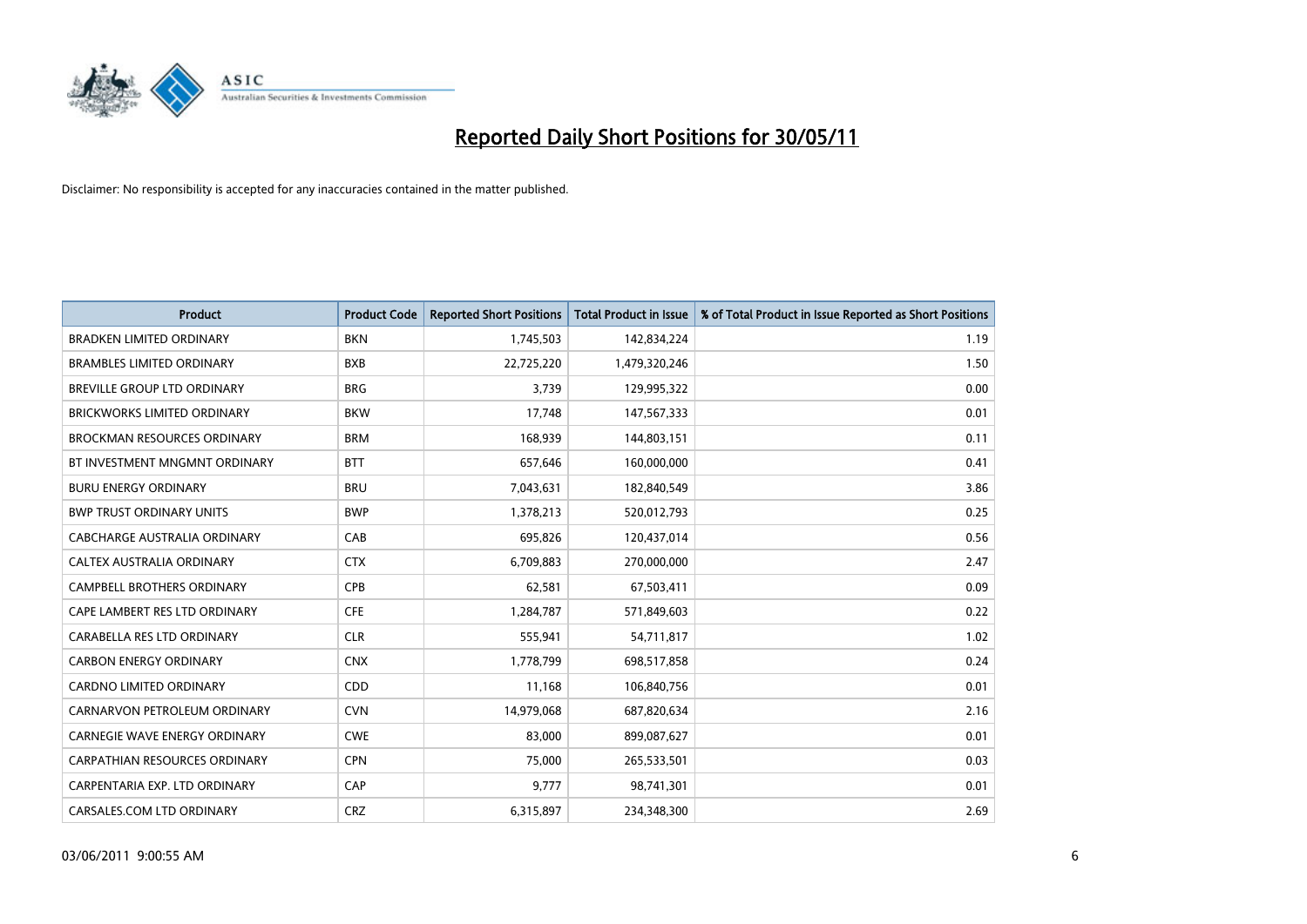

| <b>Product</b>                       | <b>Product Code</b> | <b>Reported Short Positions</b> | <b>Total Product in Issue</b> | % of Total Product in Issue Reported as Short Positions |
|--------------------------------------|---------------------|---------------------------------|-------------------------------|---------------------------------------------------------|
| <b>BRADKEN LIMITED ORDINARY</b>      | <b>BKN</b>          | 1,745,503                       | 142,834,224                   | 1.19                                                    |
| <b>BRAMBLES LIMITED ORDINARY</b>     | <b>BXB</b>          | 22,725,220                      | 1,479,320,246                 | 1.50                                                    |
| <b>BREVILLE GROUP LTD ORDINARY</b>   | <b>BRG</b>          | 3,739                           | 129,995,322                   | 0.00                                                    |
| BRICKWORKS LIMITED ORDINARY          | <b>BKW</b>          | 17,748                          | 147,567,333                   | 0.01                                                    |
| <b>BROCKMAN RESOURCES ORDINARY</b>   | <b>BRM</b>          | 168,939                         | 144,803,151                   | 0.11                                                    |
| BT INVESTMENT MNGMNT ORDINARY        | <b>BTT</b>          | 657,646                         | 160,000,000                   | 0.41                                                    |
| <b>BURU ENERGY ORDINARY</b>          | <b>BRU</b>          | 7,043,631                       | 182,840,549                   | 3.86                                                    |
| <b>BWP TRUST ORDINARY UNITS</b>      | <b>BWP</b>          | 1,378,213                       | 520,012,793                   | 0.25                                                    |
| CABCHARGE AUSTRALIA ORDINARY         | CAB                 | 695,826                         | 120,437,014                   | 0.56                                                    |
| CALTEX AUSTRALIA ORDINARY            | <b>CTX</b>          | 6,709,883                       | 270,000,000                   | 2.47                                                    |
| <b>CAMPBELL BROTHERS ORDINARY</b>    | CPB                 | 62,581                          | 67,503,411                    | 0.09                                                    |
| CAPE LAMBERT RES LTD ORDINARY        | <b>CFE</b>          | 1,284,787                       | 571,849,603                   | 0.22                                                    |
| CARABELLA RES LTD ORDINARY           | <b>CLR</b>          | 555,941                         | 54,711,817                    | 1.02                                                    |
| <b>CARBON ENERGY ORDINARY</b>        | <b>CNX</b>          | 1,778,799                       | 698,517,858                   | 0.24                                                    |
| <b>CARDNO LIMITED ORDINARY</b>       | CDD                 | 11,168                          | 106,840,756                   | 0.01                                                    |
| CARNARVON PETROLEUM ORDINARY         | <b>CVN</b>          | 14,979,068                      | 687,820,634                   | 2.16                                                    |
| <b>CARNEGIE WAVE ENERGY ORDINARY</b> | <b>CWE</b>          | 83,000                          | 899,087,627                   | 0.01                                                    |
| CARPATHIAN RESOURCES ORDINARY        | <b>CPN</b>          | 75,000                          | 265,533,501                   | 0.03                                                    |
| CARPENTARIA EXP. LTD ORDINARY        | CAP                 | 9,777                           | 98,741,301                    | 0.01                                                    |
| CARSALES.COM LTD ORDINARY            | <b>CRZ</b>          | 6,315,897                       | 234,348,300                   | 2.69                                                    |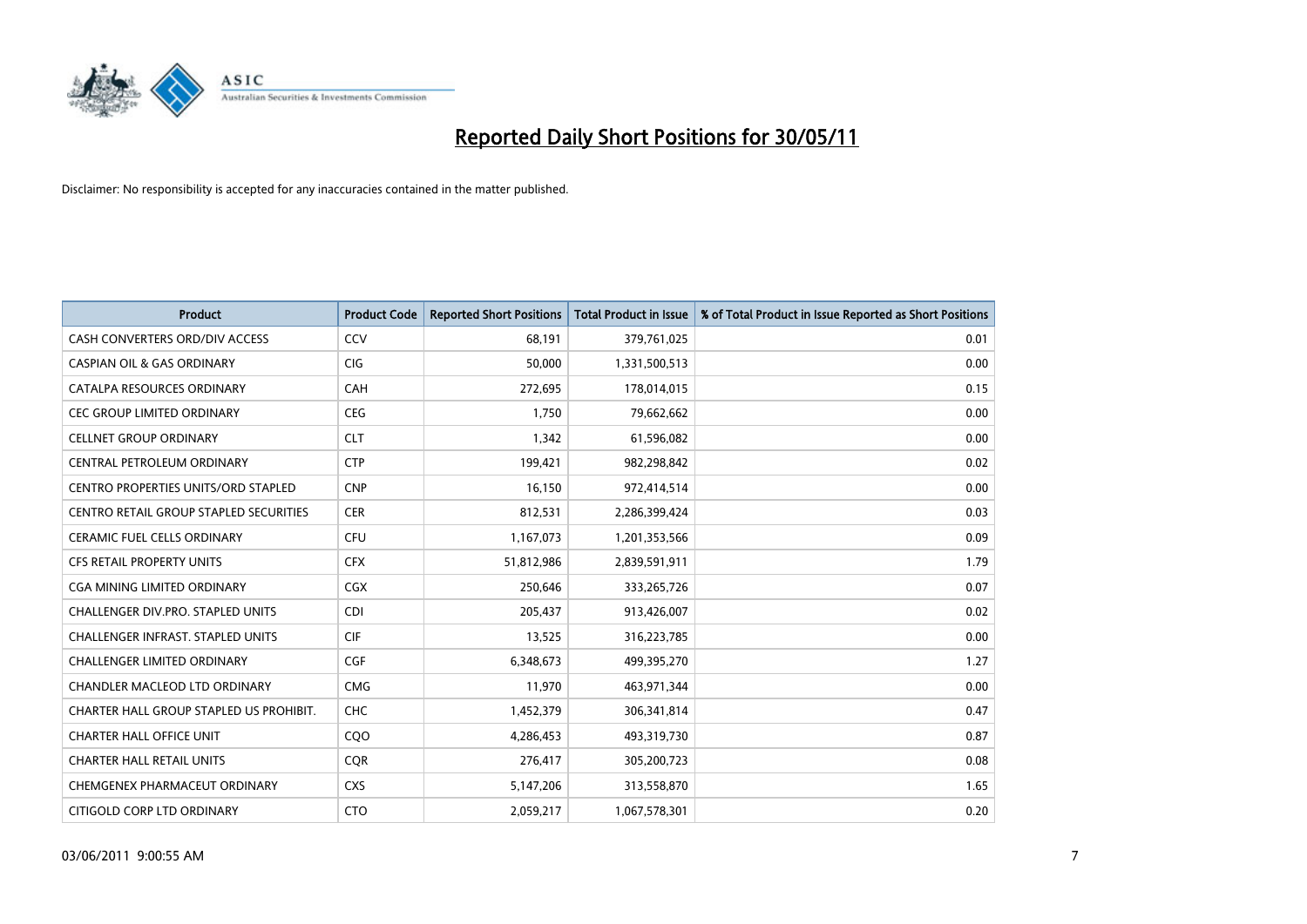

| <b>Product</b>                                | <b>Product Code</b> | <b>Reported Short Positions</b> | <b>Total Product in Issue</b> | % of Total Product in Issue Reported as Short Positions |
|-----------------------------------------------|---------------------|---------------------------------|-------------------------------|---------------------------------------------------------|
| CASH CONVERTERS ORD/DIV ACCESS                | CCV                 | 68,191                          | 379,761,025                   | 0.01                                                    |
| <b>CASPIAN OIL &amp; GAS ORDINARY</b>         | <b>CIG</b>          | 50,000                          | 1,331,500,513                 | 0.00                                                    |
| CATALPA RESOURCES ORDINARY                    | CAH                 | 272,695                         | 178,014,015                   | 0.15                                                    |
| CEC GROUP LIMITED ORDINARY                    | <b>CEG</b>          | 1,750                           | 79,662,662                    | 0.00                                                    |
| <b>CELLNET GROUP ORDINARY</b>                 | <b>CLT</b>          | 1,342                           | 61,596,082                    | 0.00                                                    |
| CENTRAL PETROLEUM ORDINARY                    | <b>CTP</b>          | 199,421                         | 982,298,842                   | 0.02                                                    |
| <b>CENTRO PROPERTIES UNITS/ORD STAPLED</b>    | <b>CNP</b>          | 16,150                          | 972,414,514                   | 0.00                                                    |
| <b>CENTRO RETAIL GROUP STAPLED SECURITIES</b> | <b>CER</b>          | 812,531                         | 2,286,399,424                 | 0.03                                                    |
| CERAMIC FUEL CELLS ORDINARY                   | CFU                 | 1,167,073                       | 1,201,353,566                 | 0.09                                                    |
| <b>CFS RETAIL PROPERTY UNITS</b>              | <b>CFX</b>          | 51,812,986                      | 2,839,591,911                 | 1.79                                                    |
| CGA MINING LIMITED ORDINARY                   | <b>CGX</b>          | 250,646                         | 333,265,726                   | 0.07                                                    |
| CHALLENGER DIV.PRO. STAPLED UNITS             | <b>CDI</b>          | 205,437                         | 913,426,007                   | 0.02                                                    |
| CHALLENGER INFRAST. STAPLED UNITS             | <b>CIF</b>          | 13,525                          | 316,223,785                   | 0.00                                                    |
| <b>CHALLENGER LIMITED ORDINARY</b>            | CGF                 | 6,348,673                       | 499,395,270                   | 1.27                                                    |
| CHANDLER MACLEOD LTD ORDINARY                 | <b>CMG</b>          | 11,970                          | 463,971,344                   | 0.00                                                    |
| CHARTER HALL GROUP STAPLED US PROHIBIT.       | <b>CHC</b>          | 1,452,379                       | 306,341,814                   | 0.47                                                    |
| <b>CHARTER HALL OFFICE UNIT</b>               | C <sub>O</sub> O    | 4,286,453                       | 493,319,730                   | 0.87                                                    |
| <b>CHARTER HALL RETAIL UNITS</b>              | <b>CQR</b>          | 276,417                         | 305,200,723                   | 0.08                                                    |
| CHEMGENEX PHARMACEUT ORDINARY                 | <b>CXS</b>          | 5,147,206                       | 313,558,870                   | 1.65                                                    |
| CITIGOLD CORP LTD ORDINARY                    | <b>CTO</b>          | 2,059,217                       | 1,067,578,301                 | 0.20                                                    |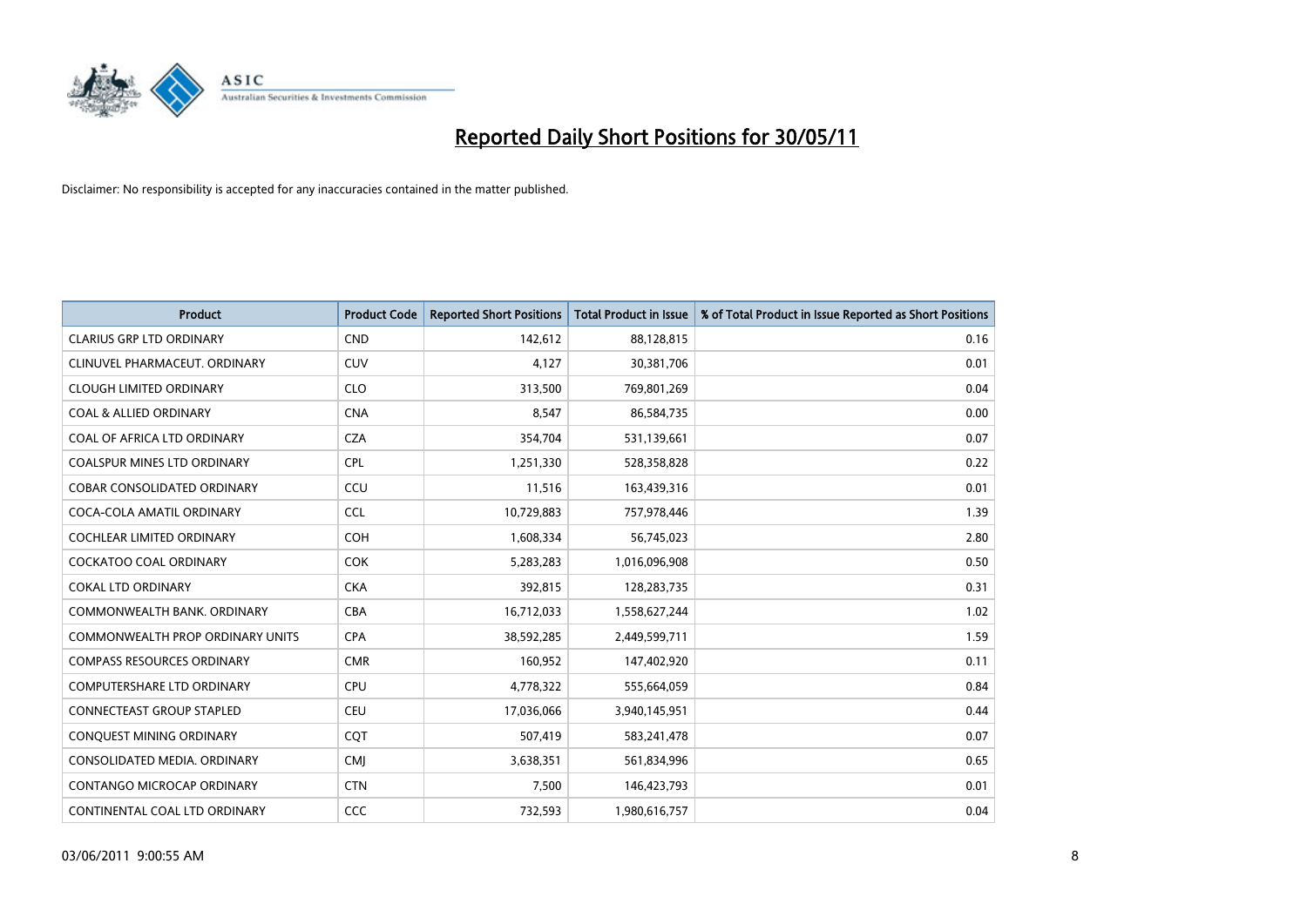

| <b>Product</b>                     | <b>Product Code</b> | <b>Reported Short Positions</b> | <b>Total Product in Issue</b> | % of Total Product in Issue Reported as Short Positions |
|------------------------------------|---------------------|---------------------------------|-------------------------------|---------------------------------------------------------|
| <b>CLARIUS GRP LTD ORDINARY</b>    | <b>CND</b>          | 142,612                         | 88,128,815                    | 0.16                                                    |
| CLINUVEL PHARMACEUT. ORDINARY      | <b>CUV</b>          | 4,127                           | 30,381,706                    | 0.01                                                    |
| <b>CLOUGH LIMITED ORDINARY</b>     | <b>CLO</b>          | 313,500                         | 769,801,269                   | 0.04                                                    |
| <b>COAL &amp; ALLIED ORDINARY</b>  | <b>CNA</b>          | 8,547                           | 86,584,735                    | 0.00                                                    |
| COAL OF AFRICA LTD ORDINARY        | <b>CZA</b>          | 354,704                         | 531,139,661                   | 0.07                                                    |
| <b>COALSPUR MINES LTD ORDINARY</b> | CPL                 | 1,251,330                       | 528,358,828                   | 0.22                                                    |
| COBAR CONSOLIDATED ORDINARY        | CCU                 | 11,516                          | 163,439,316                   | 0.01                                                    |
| COCA-COLA AMATIL ORDINARY          | <b>CCL</b>          | 10,729,883                      | 757,978,446                   | 1.39                                                    |
| <b>COCHLEAR LIMITED ORDINARY</b>   | <b>COH</b>          | 1,608,334                       | 56,745,023                    | 2.80                                                    |
| <b>COCKATOO COAL ORDINARY</b>      | <b>COK</b>          | 5,283,283                       | 1,016,096,908                 | 0.50                                                    |
| <b>COKAL LTD ORDINARY</b>          | <b>CKA</b>          | 392,815                         | 128,283,735                   | 0.31                                                    |
| COMMONWEALTH BANK, ORDINARY        | CBA                 | 16,712,033                      | 1,558,627,244                 | 1.02                                                    |
| COMMONWEALTH PROP ORDINARY UNITS   | <b>CPA</b>          | 38,592,285                      | 2,449,599,711                 | 1.59                                                    |
| <b>COMPASS RESOURCES ORDINARY</b>  | <b>CMR</b>          | 160,952                         | 147,402,920                   | 0.11                                                    |
| <b>COMPUTERSHARE LTD ORDINARY</b>  | <b>CPU</b>          | 4,778,322                       | 555,664,059                   | 0.84                                                    |
| <b>CONNECTEAST GROUP STAPLED</b>   | CEU                 | 17,036,066                      | 3,940,145,951                 | 0.44                                                    |
| CONQUEST MINING ORDINARY           | CQT                 | 507,419                         | 583,241,478                   | 0.07                                                    |
| CONSOLIDATED MEDIA, ORDINARY       | <b>CMI</b>          | 3,638,351                       | 561,834,996                   | 0.65                                                    |
| CONTANGO MICROCAP ORDINARY         | <b>CTN</b>          | 7,500                           | 146,423,793                   | 0.01                                                    |
| CONTINENTAL COAL LTD ORDINARY      | CCC                 | 732,593                         | 1,980,616,757                 | 0.04                                                    |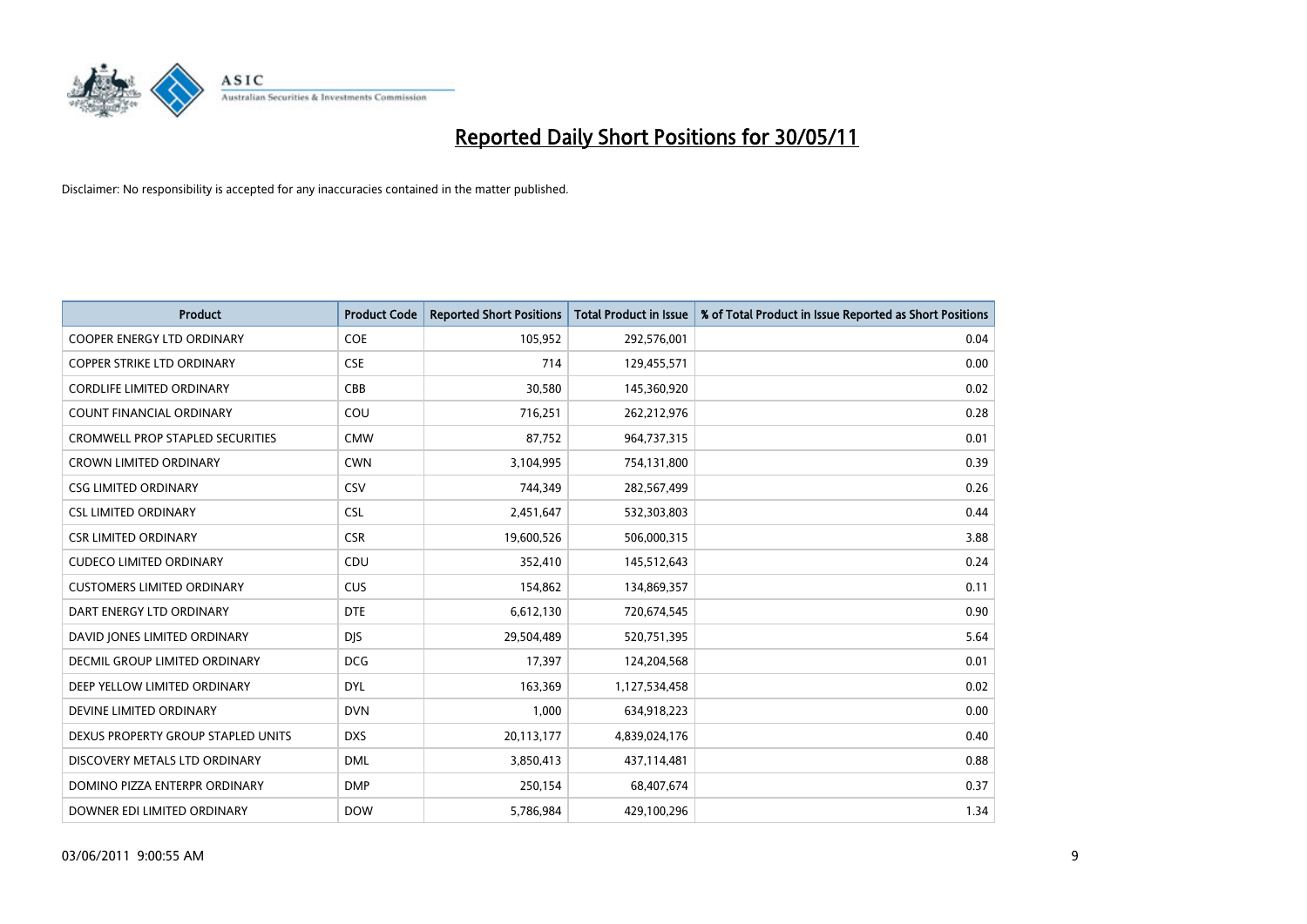

| <b>Product</b>                          | <b>Product Code</b> | <b>Reported Short Positions</b> | <b>Total Product in Issue</b> | % of Total Product in Issue Reported as Short Positions |
|-----------------------------------------|---------------------|---------------------------------|-------------------------------|---------------------------------------------------------|
| <b>COOPER ENERGY LTD ORDINARY</b>       | <b>COE</b>          | 105,952                         | 292,576,001                   | 0.04                                                    |
| <b>COPPER STRIKE LTD ORDINARY</b>       | <b>CSE</b>          | 714                             | 129,455,571                   | 0.00                                                    |
| <b>CORDLIFE LIMITED ORDINARY</b>        | CBB                 | 30,580                          | 145,360,920                   | 0.02                                                    |
| COUNT FINANCIAL ORDINARY                | COU                 | 716,251                         | 262,212,976                   | 0.28                                                    |
| <b>CROMWELL PROP STAPLED SECURITIES</b> | <b>CMW</b>          | 87,752                          | 964,737,315                   | 0.01                                                    |
| <b>CROWN LIMITED ORDINARY</b>           | <b>CWN</b>          | 3,104,995                       | 754,131,800                   | 0.39                                                    |
| <b>CSG LIMITED ORDINARY</b>             | CSV                 | 744,349                         | 282,567,499                   | 0.26                                                    |
| <b>CSL LIMITED ORDINARY</b>             | <b>CSL</b>          | 2,451,647                       | 532,303,803                   | 0.44                                                    |
| <b>CSR LIMITED ORDINARY</b>             | <b>CSR</b>          | 19,600,526                      | 506,000,315                   | 3.88                                                    |
| <b>CUDECO LIMITED ORDINARY</b>          | CDU                 | 352,410                         | 145,512,643                   | 0.24                                                    |
| <b>CUSTOMERS LIMITED ORDINARY</b>       | CUS                 | 154,862                         | 134,869,357                   | 0.11                                                    |
| DART ENERGY LTD ORDINARY                | <b>DTE</b>          | 6,612,130                       | 720,674,545                   | 0.90                                                    |
| DAVID JONES LIMITED ORDINARY            | <b>DJS</b>          | 29,504,489                      | 520,751,395                   | 5.64                                                    |
| <b>DECMIL GROUP LIMITED ORDINARY</b>    | <b>DCG</b>          | 17,397                          | 124,204,568                   | 0.01                                                    |
| DEEP YELLOW LIMITED ORDINARY            | <b>DYL</b>          | 163,369                         | 1,127,534,458                 | 0.02                                                    |
| DEVINE LIMITED ORDINARY                 | <b>DVN</b>          | 1,000                           | 634,918,223                   | 0.00                                                    |
| DEXUS PROPERTY GROUP STAPLED UNITS      | <b>DXS</b>          | 20,113,177                      | 4,839,024,176                 | 0.40                                                    |
| DISCOVERY METALS LTD ORDINARY           | <b>DML</b>          | 3,850,413                       | 437,114,481                   | 0.88                                                    |
| DOMINO PIZZA ENTERPR ORDINARY           | <b>DMP</b>          | 250,154                         | 68,407,674                    | 0.37                                                    |
| DOWNER EDI LIMITED ORDINARY             | <b>DOW</b>          | 5,786,984                       | 429,100,296                   | 1.34                                                    |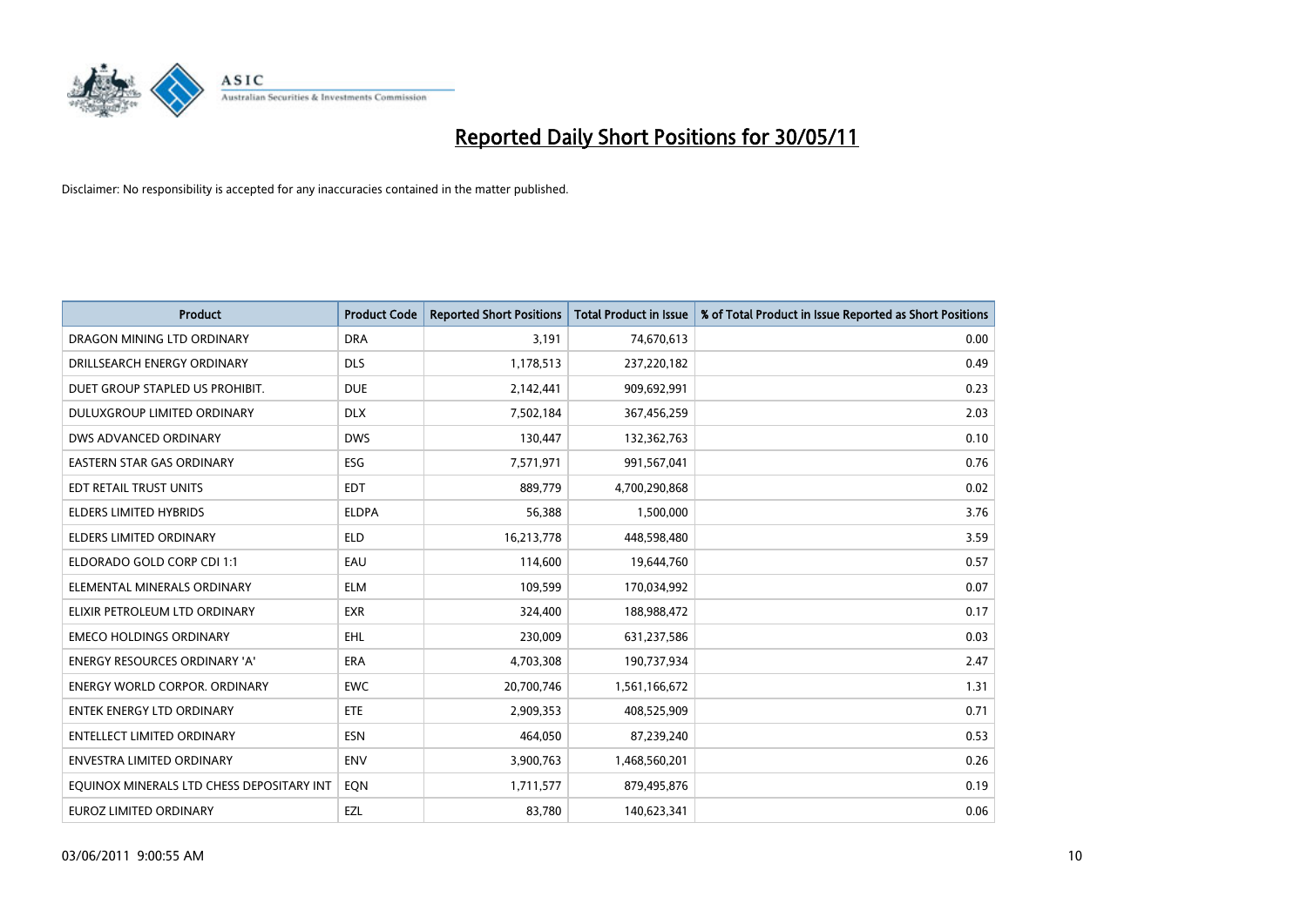

| <b>Product</b>                            | <b>Product Code</b> | <b>Reported Short Positions</b> | <b>Total Product in Issue</b> | % of Total Product in Issue Reported as Short Positions |
|-------------------------------------------|---------------------|---------------------------------|-------------------------------|---------------------------------------------------------|
| DRAGON MINING LTD ORDINARY                | <b>DRA</b>          | 3,191                           | 74,670,613                    | 0.00                                                    |
| DRILLSEARCH ENERGY ORDINARY               | <b>DLS</b>          | 1,178,513                       | 237,220,182                   | 0.49                                                    |
| DUET GROUP STAPLED US PROHIBIT.           | <b>DUE</b>          | 2,142,441                       | 909,692,991                   | 0.23                                                    |
| DULUXGROUP LIMITED ORDINARY               | <b>DLX</b>          | 7,502,184                       | 367,456,259                   | 2.03                                                    |
| DWS ADVANCED ORDINARY                     | <b>DWS</b>          | 130,447                         | 132,362,763                   | 0.10                                                    |
| EASTERN STAR GAS ORDINARY                 | ESG                 | 7,571,971                       | 991,567,041                   | 0.76                                                    |
| EDT RETAIL TRUST UNITS                    | <b>EDT</b>          | 889.779                         | 4,700,290,868                 | 0.02                                                    |
| <b>ELDERS LIMITED HYBRIDS</b>             | <b>ELDPA</b>        | 56,388                          | 1,500,000                     | 3.76                                                    |
| <b>ELDERS LIMITED ORDINARY</b>            | <b>ELD</b>          | 16,213,778                      | 448,598,480                   | 3.59                                                    |
| ELDORADO GOLD CORP CDI 1:1                | EAU                 | 114,600                         | 19,644,760                    | 0.57                                                    |
| ELEMENTAL MINERALS ORDINARY               | <b>ELM</b>          | 109,599                         | 170,034,992                   | 0.07                                                    |
| ELIXIR PETROLEUM LTD ORDINARY             | <b>EXR</b>          | 324,400                         | 188,988,472                   | 0.17                                                    |
| <b>EMECO HOLDINGS ORDINARY</b>            | <b>EHL</b>          | 230,009                         | 631,237,586                   | 0.03                                                    |
| <b>ENERGY RESOURCES ORDINARY 'A'</b>      | <b>ERA</b>          | 4,703,308                       | 190,737,934                   | 2.47                                                    |
| <b>ENERGY WORLD CORPOR, ORDINARY</b>      | <b>EWC</b>          | 20,700,746                      | 1,561,166,672                 | 1.31                                                    |
| ENTEK ENERGY LTD ORDINARY                 | <b>ETE</b>          | 2,909,353                       | 408,525,909                   | 0.71                                                    |
| ENTELLECT LIMITED ORDINARY                | <b>ESN</b>          | 464,050                         | 87,239,240                    | 0.53                                                    |
| <b>ENVESTRA LIMITED ORDINARY</b>          | <b>ENV</b>          | 3,900,763                       | 1,468,560,201                 | 0.26                                                    |
| EQUINOX MINERALS LTD CHESS DEPOSITARY INT | EON                 | 1,711,577                       | 879,495,876                   | 0.19                                                    |
| <b>EUROZ LIMITED ORDINARY</b>             | EZL                 | 83,780                          | 140,623,341                   | 0.06                                                    |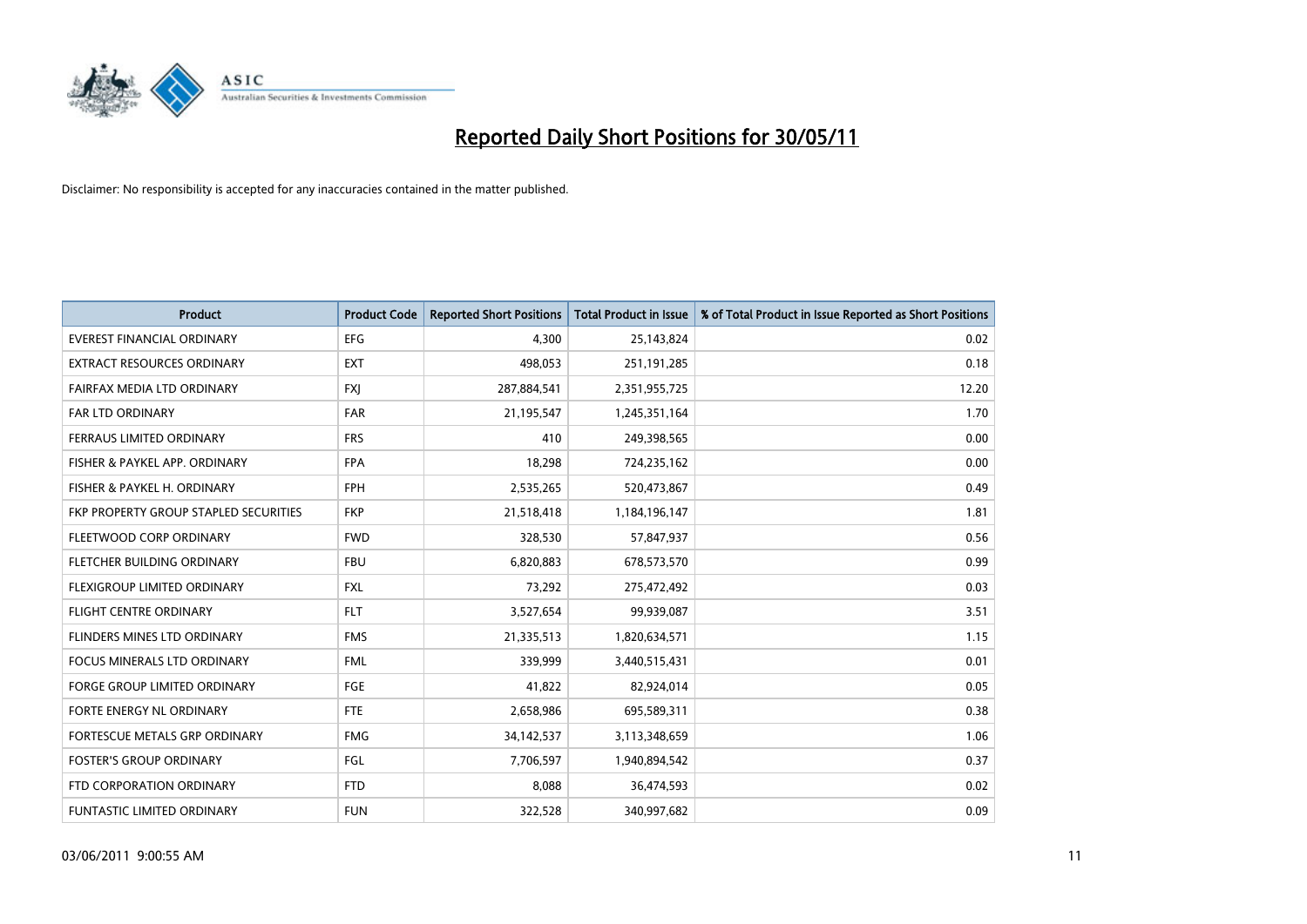

| <b>Product</b>                        | <b>Product Code</b> | <b>Reported Short Positions</b> | Total Product in Issue | % of Total Product in Issue Reported as Short Positions |
|---------------------------------------|---------------------|---------------------------------|------------------------|---------------------------------------------------------|
| <b>EVEREST FINANCIAL ORDINARY</b>     | <b>EFG</b>          | 4.300                           | 25,143,824             | 0.02                                                    |
| EXTRACT RESOURCES ORDINARY            | <b>EXT</b>          | 498,053                         | 251,191,285            | 0.18                                                    |
| FAIRFAX MEDIA LTD ORDINARY            | <b>FXJ</b>          | 287,884,541                     | 2,351,955,725          | 12.20                                                   |
| FAR LTD ORDINARY                      | <b>FAR</b>          | 21,195,547                      | 1,245,351,164          | 1.70                                                    |
| FERRAUS LIMITED ORDINARY              | <b>FRS</b>          | 410                             | 249,398,565            | 0.00                                                    |
| FISHER & PAYKEL APP. ORDINARY         | <b>FPA</b>          | 18,298                          | 724,235,162            | 0.00                                                    |
| FISHER & PAYKEL H. ORDINARY           | <b>FPH</b>          | 2,535,265                       | 520,473,867            | 0.49                                                    |
| FKP PROPERTY GROUP STAPLED SECURITIES | <b>FKP</b>          | 21,518,418                      | 1,184,196,147          | 1.81                                                    |
| FLEETWOOD CORP ORDINARY               | <b>FWD</b>          | 328,530                         | 57,847,937             | 0.56                                                    |
| FLETCHER BUILDING ORDINARY            | <b>FBU</b>          | 6,820,883                       | 678,573,570            | 0.99                                                    |
| FLEXIGROUP LIMITED ORDINARY           | <b>FXL</b>          | 73,292                          | 275,472,492            | 0.03                                                    |
| <b>FLIGHT CENTRE ORDINARY</b>         | <b>FLT</b>          | 3,527,654                       | 99,939,087             | 3.51                                                    |
| FLINDERS MINES LTD ORDINARY           | <b>FMS</b>          | 21,335,513                      | 1,820,634,571          | 1.15                                                    |
| <b>FOCUS MINERALS LTD ORDINARY</b>    | <b>FML</b>          | 339,999                         | 3,440,515,431          | 0.01                                                    |
| <b>FORGE GROUP LIMITED ORDINARY</b>   | FGE                 | 41,822                          | 82,924,014             | 0.05                                                    |
| FORTE ENERGY NL ORDINARY              | <b>FTE</b>          | 2,658,986                       | 695,589,311            | 0.38                                                    |
| FORTESCUE METALS GRP ORDINARY         | <b>FMG</b>          | 34,142,537                      | 3,113,348,659          | 1.06                                                    |
| <b>FOSTER'S GROUP ORDINARY</b>        | <b>FGL</b>          | 7,706,597                       | 1,940,894,542          | 0.37                                                    |
| FTD CORPORATION ORDINARY              | <b>FTD</b>          | 8,088                           | 36,474,593             | 0.02                                                    |
| <b>FUNTASTIC LIMITED ORDINARY</b>     | <b>FUN</b>          | 322.528                         | 340,997,682            | 0.09                                                    |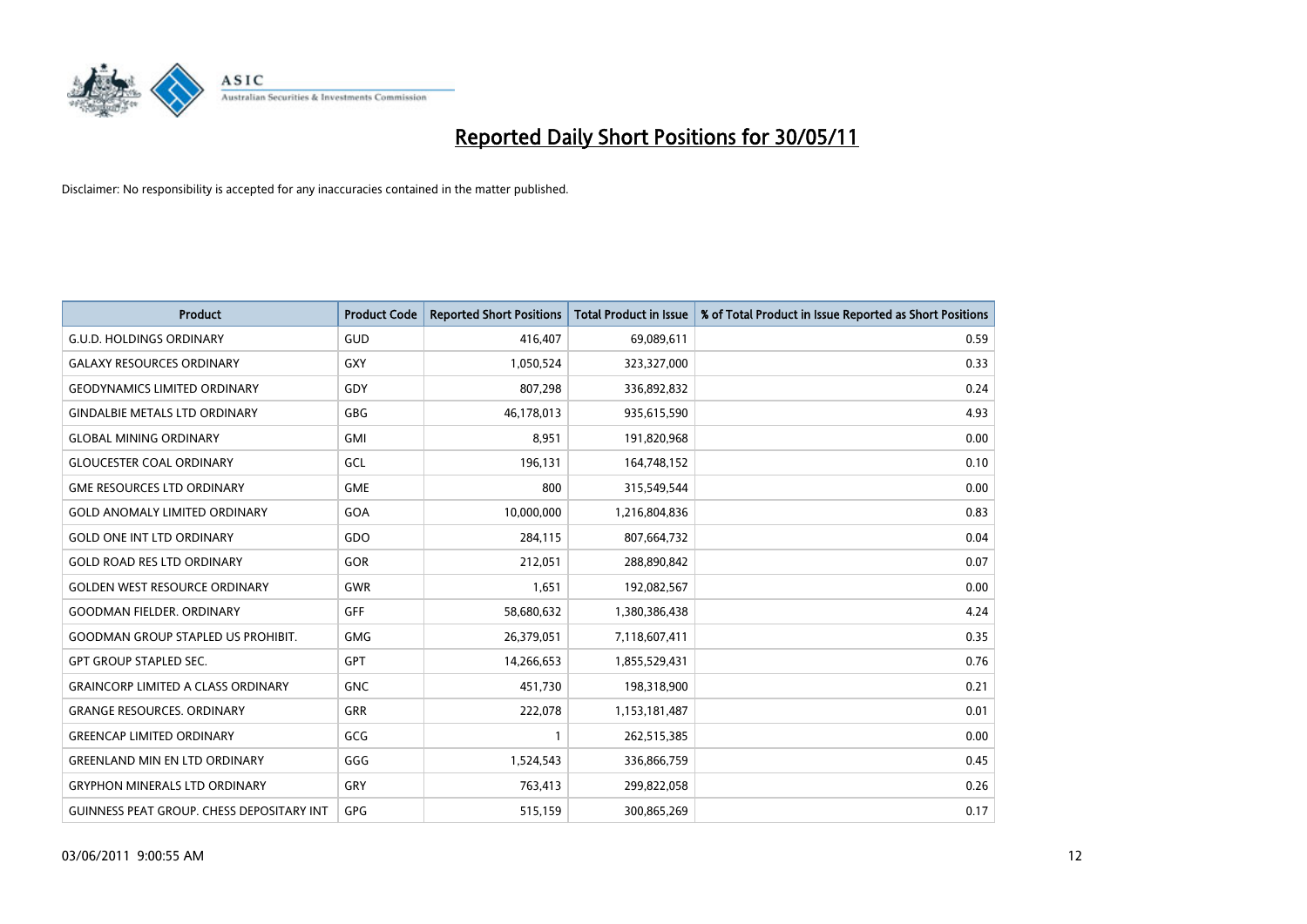

| <b>Product</b>                                   | <b>Product Code</b> | <b>Reported Short Positions</b> | <b>Total Product in Issue</b> | % of Total Product in Issue Reported as Short Positions |
|--------------------------------------------------|---------------------|---------------------------------|-------------------------------|---------------------------------------------------------|
| <b>G.U.D. HOLDINGS ORDINARY</b>                  | GUD                 | 416,407                         | 69,089,611                    | 0.59                                                    |
| <b>GALAXY RESOURCES ORDINARY</b>                 | <b>GXY</b>          | 1,050,524                       | 323,327,000                   | 0.33                                                    |
| <b>GEODYNAMICS LIMITED ORDINARY</b>              | GDY                 | 807,298                         | 336,892,832                   | 0.24                                                    |
| <b>GINDALBIE METALS LTD ORDINARY</b>             | <b>GBG</b>          | 46,178,013                      | 935,615,590                   | 4.93                                                    |
| <b>GLOBAL MINING ORDINARY</b>                    | <b>GMI</b>          | 8,951                           | 191,820,968                   | 0.00                                                    |
| <b>GLOUCESTER COAL ORDINARY</b>                  | GCL                 | 196,131                         | 164,748,152                   | 0.10                                                    |
| <b>GME RESOURCES LTD ORDINARY</b>                | <b>GME</b>          | 800                             | 315,549,544                   | 0.00                                                    |
| <b>GOLD ANOMALY LIMITED ORDINARY</b>             | GOA                 | 10,000,000                      | 1,216,804,836                 | 0.83                                                    |
| <b>GOLD ONE INT LTD ORDINARY</b>                 | GDO                 | 284,115                         | 807,664,732                   | 0.04                                                    |
| <b>GOLD ROAD RES LTD ORDINARY</b>                | GOR                 | 212,051                         | 288,890,842                   | 0.07                                                    |
| <b>GOLDEN WEST RESOURCE ORDINARY</b>             | <b>GWR</b>          | 1,651                           | 192,082,567                   | 0.00                                                    |
| <b>GOODMAN FIELDER, ORDINARY</b>                 | <b>GFF</b>          | 58,680,632                      | 1,380,386,438                 | 4.24                                                    |
| <b>GOODMAN GROUP STAPLED US PROHIBIT.</b>        | <b>GMG</b>          | 26,379,051                      | 7,118,607,411                 | 0.35                                                    |
| <b>GPT GROUP STAPLED SEC.</b>                    | GPT                 | 14,266,653                      | 1,855,529,431                 | 0.76                                                    |
| <b>GRAINCORP LIMITED A CLASS ORDINARY</b>        | <b>GNC</b>          | 451,730                         | 198,318,900                   | 0.21                                                    |
| <b>GRANGE RESOURCES. ORDINARY</b>                | GRR                 | 222,078                         | 1,153,181,487                 | 0.01                                                    |
| <b>GREENCAP LIMITED ORDINARY</b>                 | GCG                 |                                 | 262,515,385                   | 0.00                                                    |
| <b>GREENLAND MIN EN LTD ORDINARY</b>             | GGG                 | 1,524,543                       | 336,866,759                   | 0.45                                                    |
| <b>GRYPHON MINERALS LTD ORDINARY</b>             | GRY                 | 763,413                         | 299,822,058                   | 0.26                                                    |
| <b>GUINNESS PEAT GROUP. CHESS DEPOSITARY INT</b> | GPG                 | 515,159                         | 300,865,269                   | 0.17                                                    |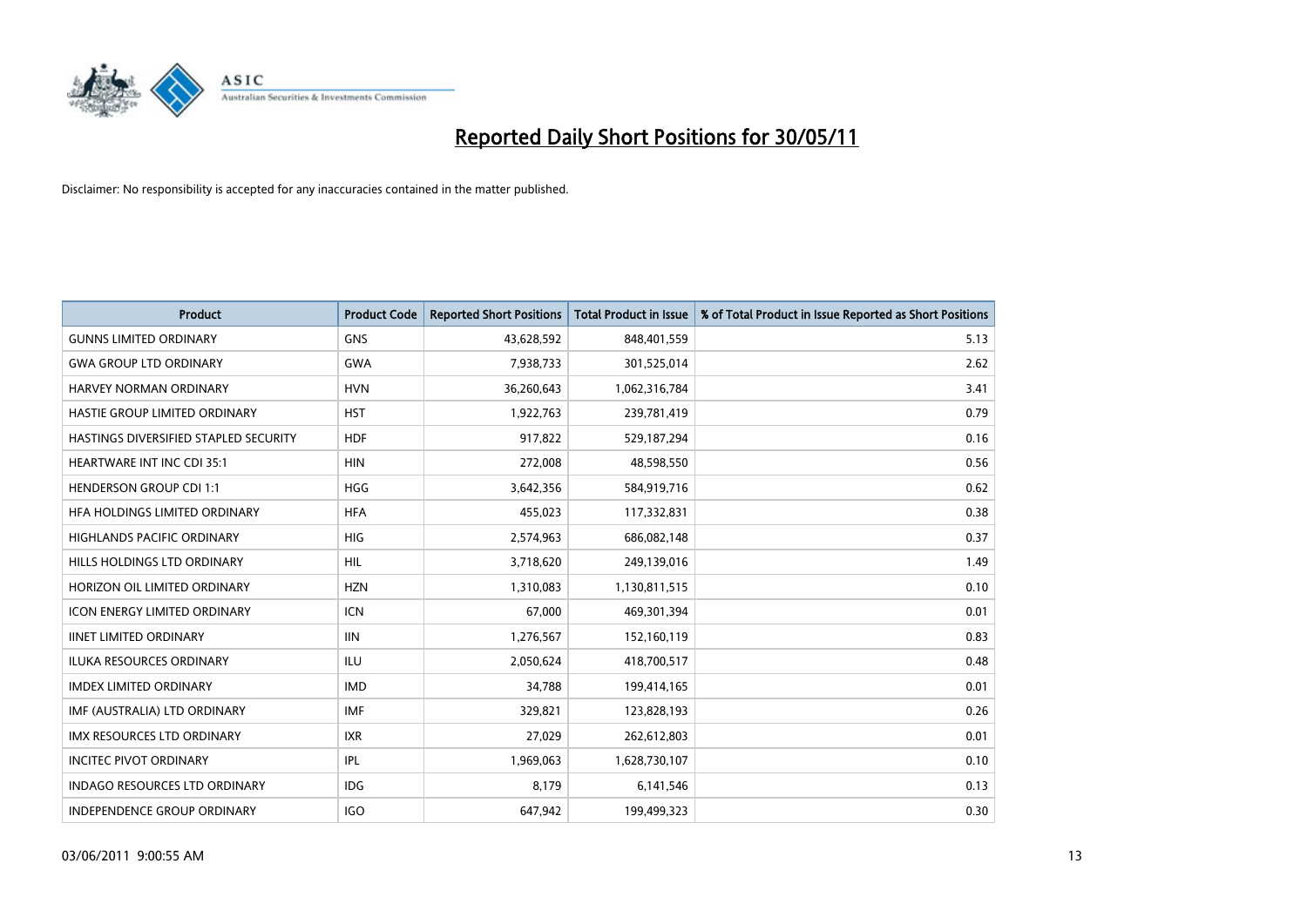

| <b>Product</b>                        | <b>Product Code</b> | <b>Reported Short Positions</b> | <b>Total Product in Issue</b> | % of Total Product in Issue Reported as Short Positions |
|---------------------------------------|---------------------|---------------------------------|-------------------------------|---------------------------------------------------------|
| <b>GUNNS LIMITED ORDINARY</b>         | <b>GNS</b>          | 43,628,592                      | 848,401,559                   | 5.13                                                    |
| <b>GWA GROUP LTD ORDINARY</b>         | <b>GWA</b>          | 7,938,733                       | 301,525,014                   | 2.62                                                    |
| <b>HARVEY NORMAN ORDINARY</b>         | <b>HVN</b>          | 36,260,643                      | 1,062,316,784                 | 3.41                                                    |
| HASTIE GROUP LIMITED ORDINARY         | <b>HST</b>          | 1,922,763                       | 239,781,419                   | 0.79                                                    |
| HASTINGS DIVERSIFIED STAPLED SECURITY | <b>HDF</b>          | 917,822                         | 529,187,294                   | 0.16                                                    |
| <b>HEARTWARE INT INC CDI 35:1</b>     | <b>HIN</b>          | 272,008                         | 48,598,550                    | 0.56                                                    |
| <b>HENDERSON GROUP CDI 1:1</b>        | <b>HGG</b>          | 3,642,356                       | 584,919,716                   | 0.62                                                    |
| HFA HOLDINGS LIMITED ORDINARY         | <b>HFA</b>          | 455,023                         | 117,332,831                   | 0.38                                                    |
| HIGHLANDS PACIFIC ORDINARY            | HIG                 | 2,574,963                       | 686,082,148                   | 0.37                                                    |
| HILLS HOLDINGS LTD ORDINARY           | <b>HIL</b>          | 3,718,620                       | 249,139,016                   | 1.49                                                    |
| HORIZON OIL LIMITED ORDINARY          | <b>HZN</b>          | 1,310,083                       | 1,130,811,515                 | 0.10                                                    |
| <b>ICON ENERGY LIMITED ORDINARY</b>   | <b>ICN</b>          | 67,000                          | 469,301,394                   | 0.01                                                    |
| <b>IINET LIMITED ORDINARY</b>         | <b>IIN</b>          | 1,276,567                       | 152,160,119                   | 0.83                                                    |
| <b>ILUKA RESOURCES ORDINARY</b>       | ILU                 | 2,050,624                       | 418,700,517                   | 0.48                                                    |
| <b>IMDEX LIMITED ORDINARY</b>         | <b>IMD</b>          | 34,788                          | 199,414,165                   | 0.01                                                    |
| IMF (AUSTRALIA) LTD ORDINARY          | <b>IMF</b>          | 329,821                         | 123,828,193                   | 0.26                                                    |
| <b>IMX RESOURCES LTD ORDINARY</b>     | <b>IXR</b>          | 27,029                          | 262,612,803                   | 0.01                                                    |
| <b>INCITEC PIVOT ORDINARY</b>         | <b>IPL</b>          | 1,969,063                       | 1,628,730,107                 | 0.10                                                    |
| <b>INDAGO RESOURCES LTD ORDINARY</b>  | <b>IDG</b>          | 8,179                           | 6,141,546                     | 0.13                                                    |
| <b>INDEPENDENCE GROUP ORDINARY</b>    | <b>IGO</b>          | 647.942                         | 199,499,323                   | 0.30                                                    |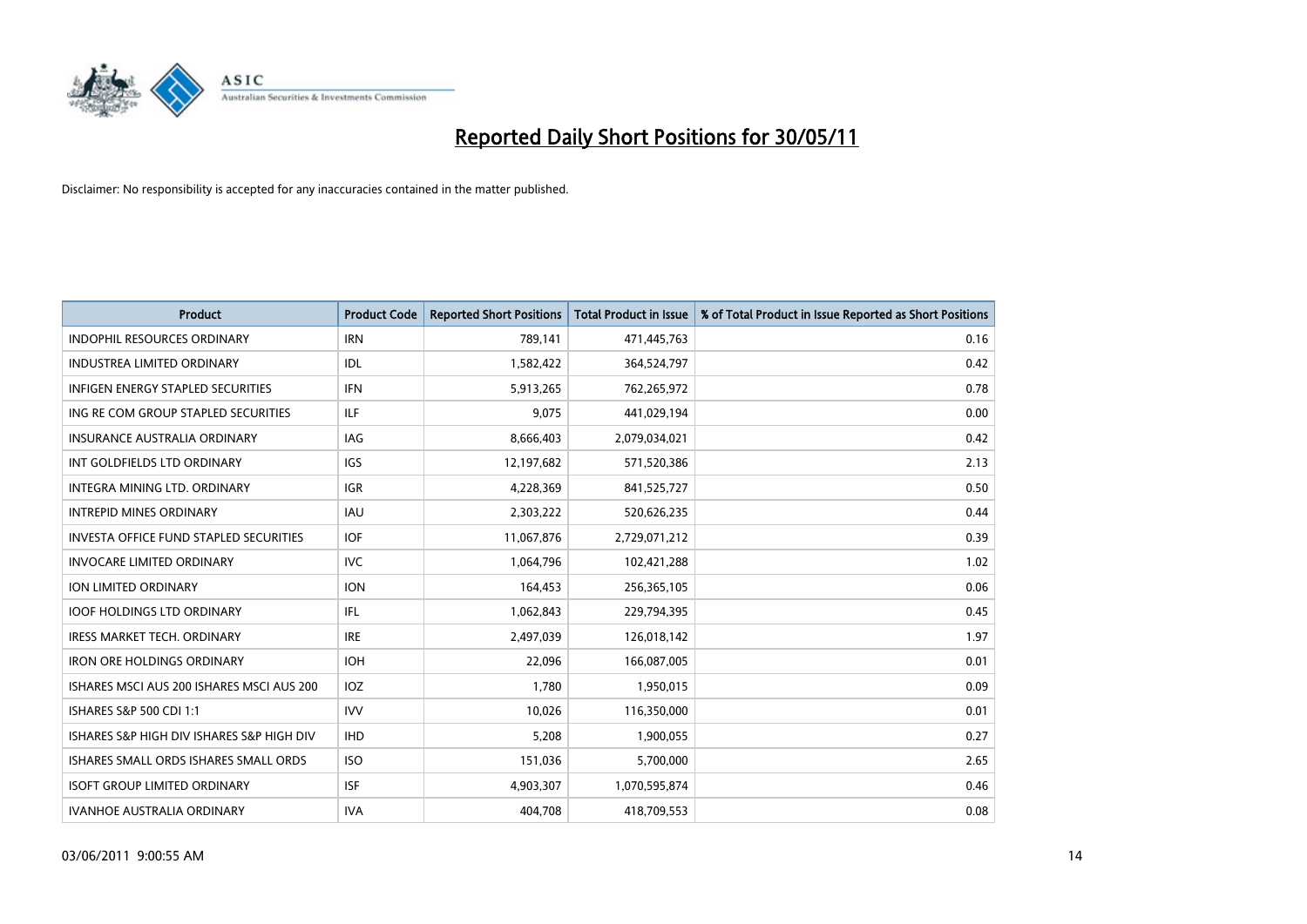

| <b>Product</b>                                | <b>Product Code</b> | <b>Reported Short Positions</b> | <b>Total Product in Issue</b> | % of Total Product in Issue Reported as Short Positions |
|-----------------------------------------------|---------------------|---------------------------------|-------------------------------|---------------------------------------------------------|
| <b>INDOPHIL RESOURCES ORDINARY</b>            | <b>IRN</b>          | 789,141                         | 471,445,763                   | 0.16                                                    |
| INDUSTREA LIMITED ORDINARY                    | IDL                 | 1,582,422                       | 364,524,797                   | 0.42                                                    |
| <b>INFIGEN ENERGY STAPLED SECURITIES</b>      | <b>IFN</b>          | 5,913,265                       | 762,265,972                   | 0.78                                                    |
| ING RE COM GROUP STAPLED SECURITIES           | <b>ILF</b>          | 9,075                           | 441,029,194                   | 0.00                                                    |
| <b>INSURANCE AUSTRALIA ORDINARY</b>           | <b>IAG</b>          | 8,666,403                       | 2,079,034,021                 | 0.42                                                    |
| INT GOLDFIELDS LTD ORDINARY                   | <b>IGS</b>          | 12,197,682                      | 571,520,386                   | 2.13                                                    |
| <b>INTEGRA MINING LTD, ORDINARY</b>           | <b>IGR</b>          | 4,228,369                       | 841,525,727                   | 0.50                                                    |
| <b>INTREPID MINES ORDINARY</b>                | <b>IAU</b>          | 2,303,222                       | 520,626,235                   | 0.44                                                    |
| <b>INVESTA OFFICE FUND STAPLED SECURITIES</b> | <b>IOF</b>          | 11,067,876                      | 2,729,071,212                 | 0.39                                                    |
| <b>INVOCARE LIMITED ORDINARY</b>              | <b>IVC</b>          | 1,064,796                       | 102,421,288                   | 1.02                                                    |
| <b>ION LIMITED ORDINARY</b>                   | <b>ION</b>          | 164,453                         | 256,365,105                   | 0.06                                                    |
| <b>IOOF HOLDINGS LTD ORDINARY</b>             | IFL.                | 1,062,843                       | 229,794,395                   | 0.45                                                    |
| <b>IRESS MARKET TECH. ORDINARY</b>            | <b>IRE</b>          | 2,497,039                       | 126,018,142                   | 1.97                                                    |
| <b>IRON ORE HOLDINGS ORDINARY</b>             | <b>IOH</b>          | 22,096                          | 166,087,005                   | 0.01                                                    |
| ISHARES MSCI AUS 200 ISHARES MSCI AUS 200     | <b>IOZ</b>          | 1,780                           | 1,950,015                     | 0.09                                                    |
| ISHARES S&P 500 CDI 1:1                       | <b>IVV</b>          | 10,026                          | 116,350,000                   | 0.01                                                    |
| ISHARES S&P HIGH DIV ISHARES S&P HIGH DIV     | <b>IHD</b>          | 5,208                           | 1,900,055                     | 0.27                                                    |
| ISHARES SMALL ORDS ISHARES SMALL ORDS         | <b>ISO</b>          | 151,036                         | 5,700,000                     | 2.65                                                    |
| <b>ISOFT GROUP LIMITED ORDINARY</b>           | <b>ISF</b>          | 4,903,307                       | 1,070,595,874                 | 0.46                                                    |
| <b>IVANHOE AUSTRALIA ORDINARY</b>             | <b>IVA</b>          | 404.708                         | 418,709,553                   | 0.08                                                    |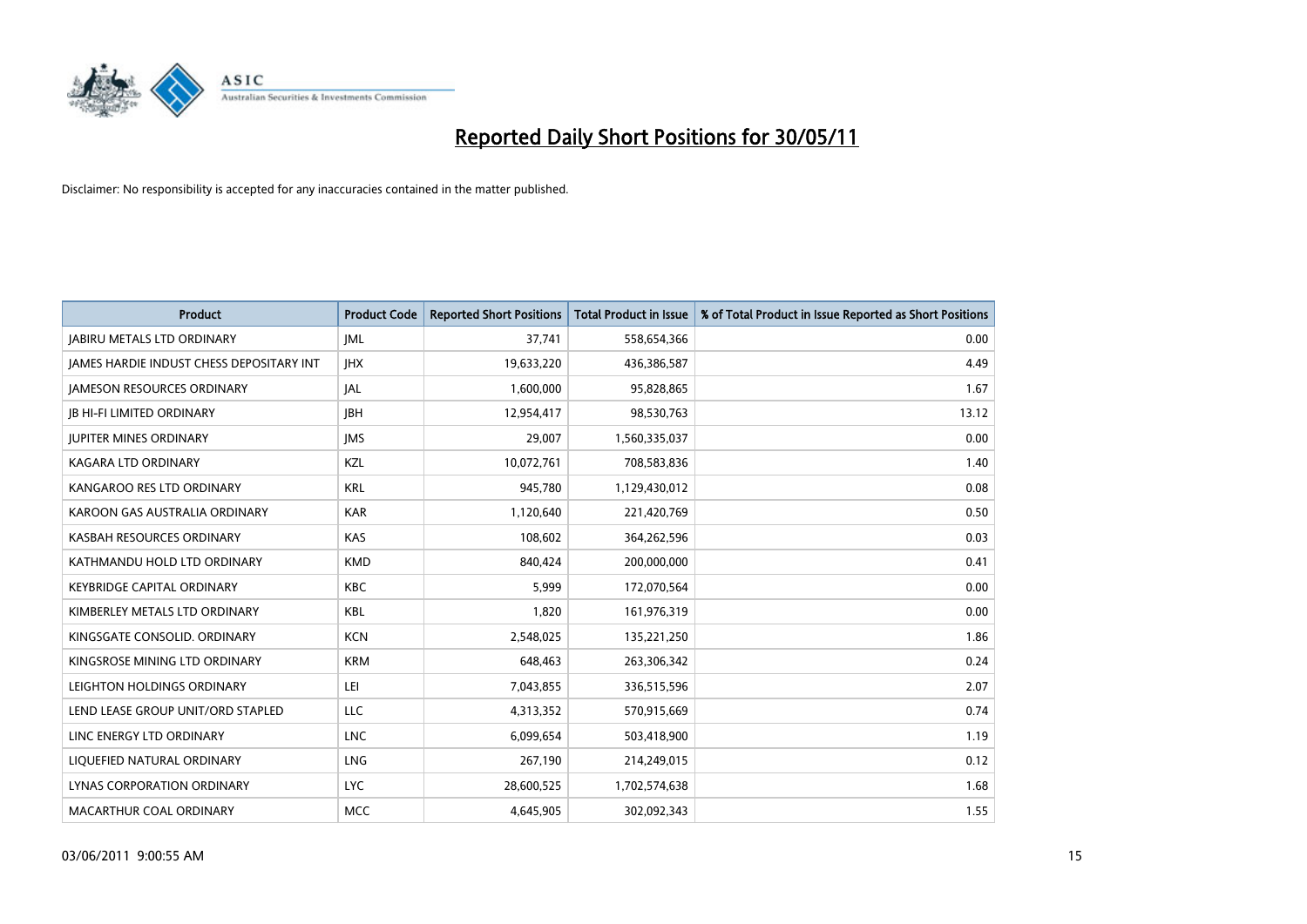

| <b>Product</b>                                  | <b>Product Code</b> | <b>Reported Short Positions</b> | Total Product in Issue | % of Total Product in Issue Reported as Short Positions |
|-------------------------------------------------|---------------------|---------------------------------|------------------------|---------------------------------------------------------|
| <b>JABIRU METALS LTD ORDINARY</b>               | <b>JML</b>          | 37,741                          | 558,654,366            | 0.00                                                    |
| <b>IAMES HARDIE INDUST CHESS DEPOSITARY INT</b> | <b>IHX</b>          | 19,633,220                      | 436,386,587            | 4.49                                                    |
| <b>JAMESON RESOURCES ORDINARY</b>               | JAL                 | 1,600,000                       | 95,828,865             | 1.67                                                    |
| <b>JB HI-FI LIMITED ORDINARY</b>                | <b>IBH</b>          | 12,954,417                      | 98,530,763             | 13.12                                                   |
| <b>IUPITER MINES ORDINARY</b>                   | <b>IMS</b>          | 29.007                          | 1,560,335,037          | 0.00                                                    |
| <b>KAGARA LTD ORDINARY</b>                      | KZL                 | 10,072,761                      | 708,583,836            | 1.40                                                    |
| KANGAROO RES LTD ORDINARY                       | <b>KRL</b>          | 945.780                         | 1,129,430,012          | 0.08                                                    |
| KAROON GAS AUSTRALIA ORDINARY                   | <b>KAR</b>          | 1,120,640                       | 221,420,769            | 0.50                                                    |
| KASBAH RESOURCES ORDINARY                       | KAS                 | 108,602                         | 364,262,596            | 0.03                                                    |
| KATHMANDU HOLD LTD ORDINARY                     | <b>KMD</b>          | 840,424                         | 200,000,000            | 0.41                                                    |
| <b>KEYBRIDGE CAPITAL ORDINARY</b>               | <b>KBC</b>          | 5,999                           | 172,070,564            | 0.00                                                    |
| KIMBERLEY METALS LTD ORDINARY                   | <b>KBL</b>          | 1,820                           | 161,976,319            | 0.00                                                    |
| KINGSGATE CONSOLID, ORDINARY                    | <b>KCN</b>          | 2.548.025                       | 135,221,250            | 1.86                                                    |
| KINGSROSE MINING LTD ORDINARY                   | <b>KRM</b>          | 648.463                         | 263,306,342            | 0.24                                                    |
| LEIGHTON HOLDINGS ORDINARY                      | LEI                 | 7,043,855                       | 336,515,596            | 2.07                                                    |
| LEND LEASE GROUP UNIT/ORD STAPLED               | LLC                 | 4,313,352                       | 570,915,669            | 0.74                                                    |
| LINC ENERGY LTD ORDINARY                        | <b>LNC</b>          | 6,099,654                       | 503,418,900            | 1.19                                                    |
| LIQUEFIED NATURAL ORDINARY                      | <b>LNG</b>          | 267,190                         | 214,249,015            | 0.12                                                    |
| LYNAS CORPORATION ORDINARY                      | <b>LYC</b>          | 28,600,525                      | 1,702,574,638          | 1.68                                                    |
| MACARTHUR COAL ORDINARY                         | <b>MCC</b>          | 4.645.905                       | 302,092,343            | 1.55                                                    |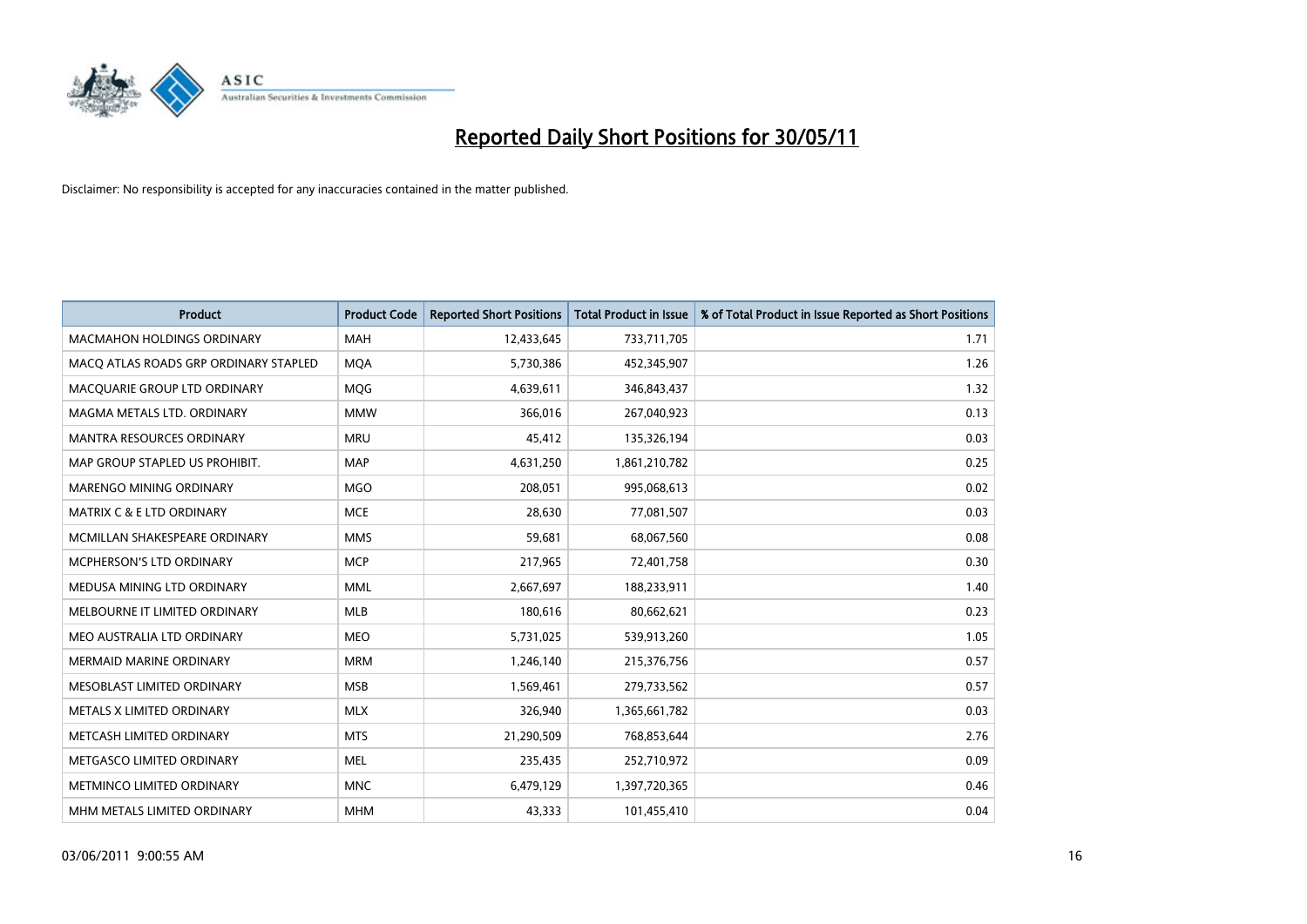

| <b>Product</b>                        | <b>Product Code</b> | <b>Reported Short Positions</b> | <b>Total Product in Issue</b> | % of Total Product in Issue Reported as Short Positions |
|---------------------------------------|---------------------|---------------------------------|-------------------------------|---------------------------------------------------------|
| <b>MACMAHON HOLDINGS ORDINARY</b>     | <b>MAH</b>          | 12,433,645                      | 733,711,705                   | 1.71                                                    |
| MACO ATLAS ROADS GRP ORDINARY STAPLED | <b>MQA</b>          | 5,730,386                       | 452,345,907                   | 1.26                                                    |
| MACQUARIE GROUP LTD ORDINARY          | MQG                 | 4,639,611                       | 346,843,437                   | 1.32                                                    |
| MAGMA METALS LTD. ORDINARY            | <b>MMW</b>          | 366,016                         | 267,040,923                   | 0.13                                                    |
| <b>MANTRA RESOURCES ORDINARY</b>      | <b>MRU</b>          | 45,412                          | 135,326,194                   | 0.03                                                    |
| MAP GROUP STAPLED US PROHIBIT.        | <b>MAP</b>          | 4,631,250                       | 1,861,210,782                 | 0.25                                                    |
| <b>MARENGO MINING ORDINARY</b>        | <b>MGO</b>          | 208,051                         | 995,068,613                   | 0.02                                                    |
| MATRIX C & E LTD ORDINARY             | <b>MCE</b>          | 28,630                          | 77,081,507                    | 0.03                                                    |
| MCMILLAN SHAKESPEARE ORDINARY         | <b>MMS</b>          | 59,681                          | 68,067,560                    | 0.08                                                    |
| <b>MCPHERSON'S LTD ORDINARY</b>       | <b>MCP</b>          | 217,965                         | 72,401,758                    | 0.30                                                    |
| MEDUSA MINING LTD ORDINARY            | <b>MML</b>          | 2,667,697                       | 188,233,911                   | 1.40                                                    |
| MELBOURNE IT LIMITED ORDINARY         | <b>MLB</b>          | 180,616                         | 80,662,621                    | 0.23                                                    |
| MEO AUSTRALIA LTD ORDINARY            | <b>MEO</b>          | 5,731,025                       | 539,913,260                   | 1.05                                                    |
| <b>MERMAID MARINE ORDINARY</b>        | <b>MRM</b>          | 1,246,140                       | 215,376,756                   | 0.57                                                    |
| MESOBLAST LIMITED ORDINARY            | <b>MSB</b>          | 1,569,461                       | 279,733,562                   | 0.57                                                    |
| METALS X LIMITED ORDINARY             | <b>MLX</b>          | 326,940                         | 1,365,661,782                 | 0.03                                                    |
| METCASH LIMITED ORDINARY              | <b>MTS</b>          | 21,290,509                      | 768,853,644                   | 2.76                                                    |
| METGASCO LIMITED ORDINARY             | <b>MEL</b>          | 235,435                         | 252,710,972                   | 0.09                                                    |
| METMINCO LIMITED ORDINARY             | <b>MNC</b>          | 6,479,129                       | 1,397,720,365                 | 0.46                                                    |
| MHM METALS LIMITED ORDINARY           | <b>MHM</b>          | 43,333                          | 101,455,410                   | 0.04                                                    |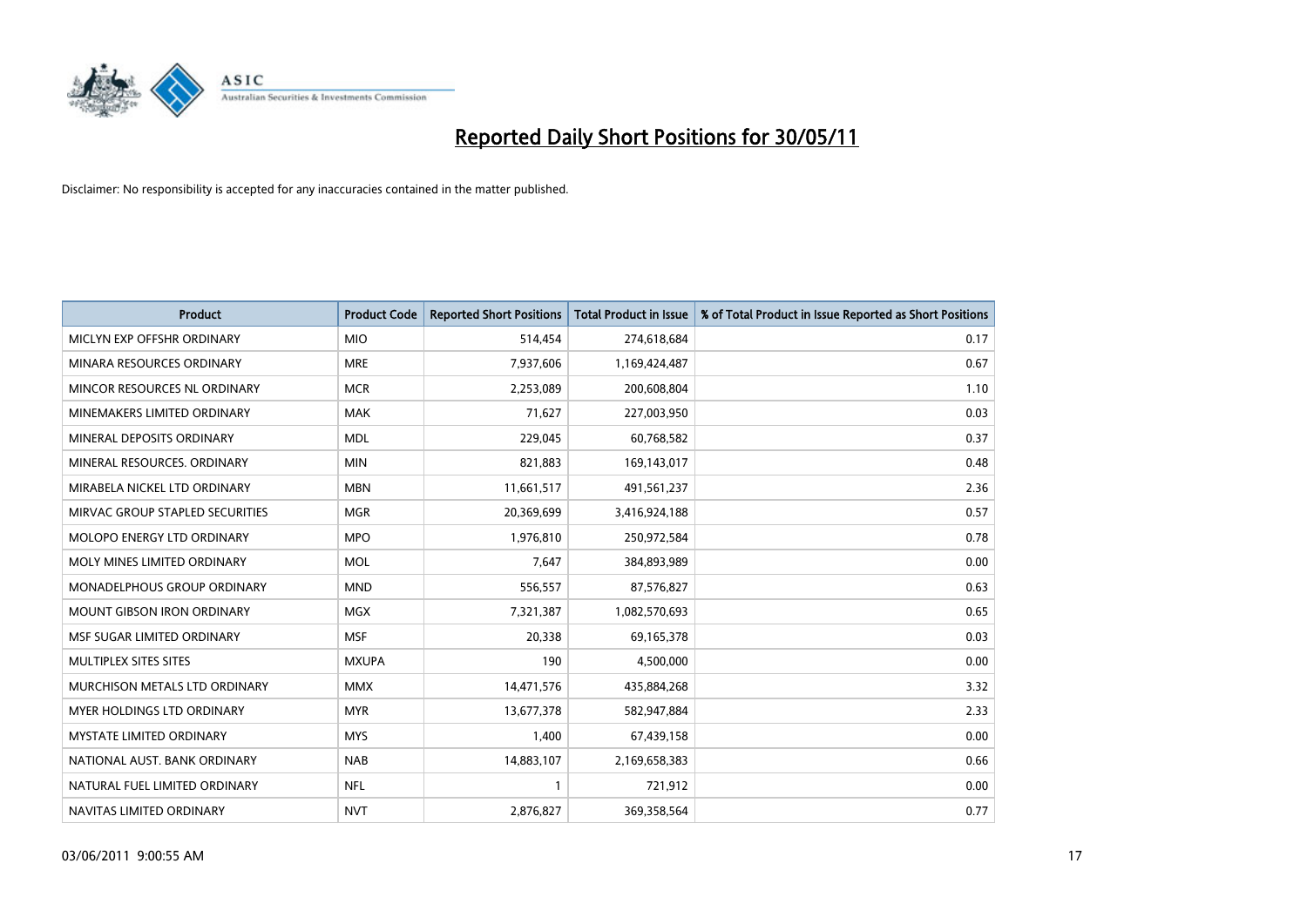

| <b>Product</b>                    | <b>Product Code</b> | <b>Reported Short Positions</b> | <b>Total Product in Issue</b> | % of Total Product in Issue Reported as Short Positions |
|-----------------------------------|---------------------|---------------------------------|-------------------------------|---------------------------------------------------------|
| MICLYN EXP OFFSHR ORDINARY        | <b>MIO</b>          | 514,454                         | 274,618,684                   | 0.17                                                    |
| MINARA RESOURCES ORDINARY         | <b>MRE</b>          | 7,937,606                       | 1,169,424,487                 | 0.67                                                    |
| MINCOR RESOURCES NL ORDINARY      | <b>MCR</b>          | 2,253,089                       | 200,608,804                   | 1.10                                                    |
| MINEMAKERS LIMITED ORDINARY       | <b>MAK</b>          | 71,627                          | 227,003,950                   | 0.03                                                    |
| MINERAL DEPOSITS ORDINARY         | <b>MDL</b>          | 229,045                         | 60,768,582                    | 0.37                                                    |
| MINERAL RESOURCES, ORDINARY       | <b>MIN</b>          | 821,883                         | 169,143,017                   | 0.48                                                    |
| MIRABELA NICKEL LTD ORDINARY      | <b>MBN</b>          | 11,661,517                      | 491,561,237                   | 2.36                                                    |
| MIRVAC GROUP STAPLED SECURITIES   | <b>MGR</b>          | 20,369,699                      | 3,416,924,188                 | 0.57                                                    |
| MOLOPO ENERGY LTD ORDINARY        | <b>MPO</b>          | 1,976,810                       | 250,972,584                   | 0.78                                                    |
| MOLY MINES LIMITED ORDINARY       | <b>MOL</b>          | 7,647                           | 384,893,989                   | 0.00                                                    |
| MONADELPHOUS GROUP ORDINARY       | <b>MND</b>          | 556,557                         | 87,576,827                    | 0.63                                                    |
| <b>MOUNT GIBSON IRON ORDINARY</b> | <b>MGX</b>          | 7,321,387                       | 1,082,570,693                 | 0.65                                                    |
| MSF SUGAR LIMITED ORDINARY        | <b>MSF</b>          | 20,338                          | 69,165,378                    | 0.03                                                    |
| MULTIPLEX SITES SITES             | <b>MXUPA</b>        | 190                             | 4,500,000                     | 0.00                                                    |
| MURCHISON METALS LTD ORDINARY     | <b>MMX</b>          | 14,471,576                      | 435,884,268                   | 3.32                                                    |
| MYER HOLDINGS LTD ORDINARY        | <b>MYR</b>          | 13,677,378                      | 582,947,884                   | 2.33                                                    |
| MYSTATE LIMITED ORDINARY          | <b>MYS</b>          | 1,400                           | 67,439,158                    | 0.00                                                    |
| NATIONAL AUST. BANK ORDINARY      | <b>NAB</b>          | 14,883,107                      | 2,169,658,383                 | 0.66                                                    |
| NATURAL FUEL LIMITED ORDINARY     | <b>NFL</b>          |                                 | 721,912                       | 0.00                                                    |
| NAVITAS LIMITED ORDINARY          | <b>NVT</b>          | 2,876,827                       | 369,358,564                   | 0.77                                                    |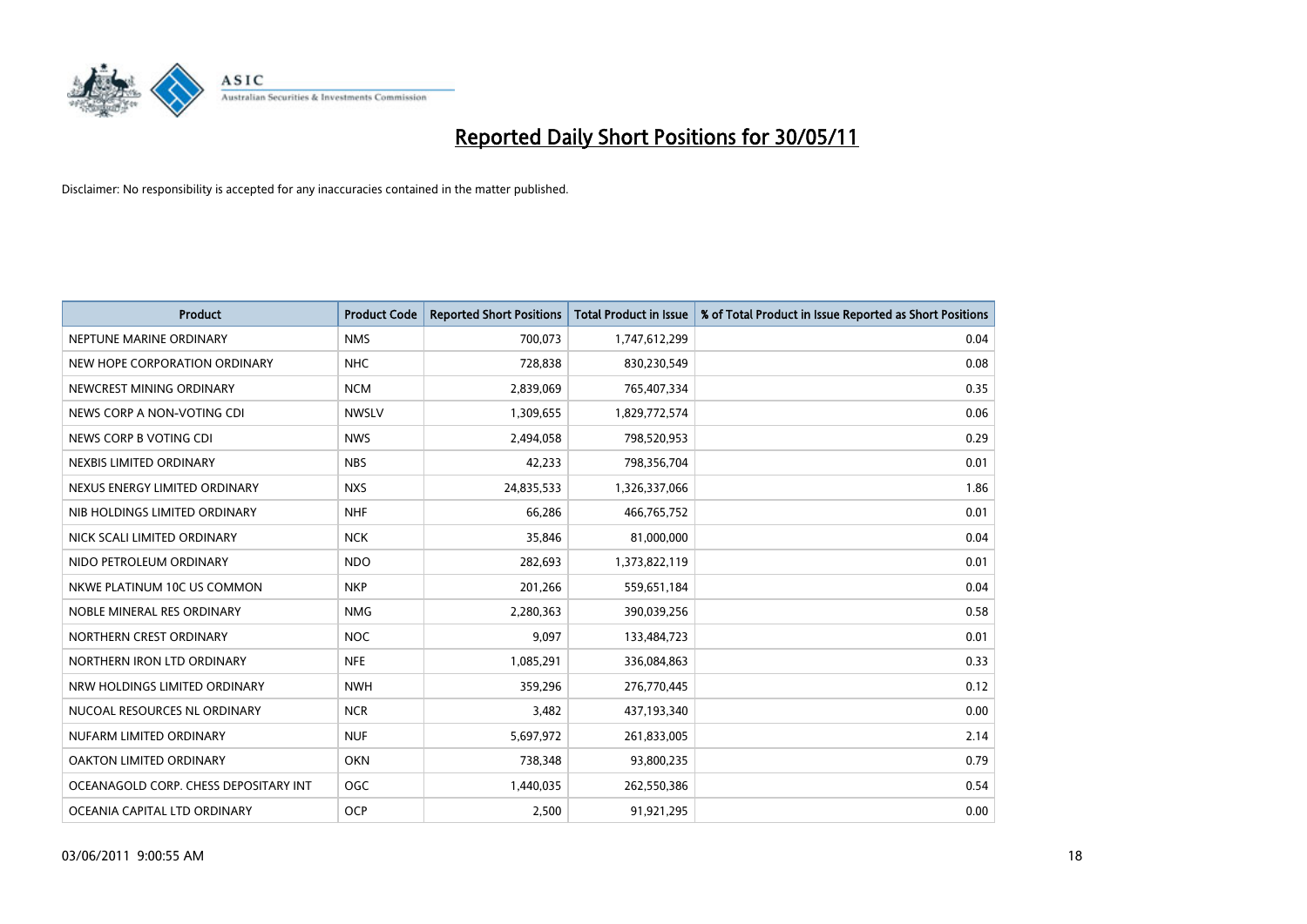

| <b>Product</b>                        | <b>Product Code</b> | <b>Reported Short Positions</b> | Total Product in Issue | % of Total Product in Issue Reported as Short Positions |
|---------------------------------------|---------------------|---------------------------------|------------------------|---------------------------------------------------------|
| NEPTUNE MARINE ORDINARY               | <b>NMS</b>          | 700,073                         | 1,747,612,299          | 0.04                                                    |
| NEW HOPE CORPORATION ORDINARY         | <b>NHC</b>          | 728.838                         | 830,230,549            | 0.08                                                    |
| NEWCREST MINING ORDINARY              | <b>NCM</b>          | 2,839,069                       | 765,407,334            | 0.35                                                    |
| NEWS CORP A NON-VOTING CDI            | <b>NWSLV</b>        | 1,309,655                       | 1,829,772,574          | 0.06                                                    |
| NEWS CORP B VOTING CDI                | <b>NWS</b>          | 2,494,058                       | 798,520,953            | 0.29                                                    |
| NEXBIS LIMITED ORDINARY               | <b>NBS</b>          | 42,233                          | 798,356,704            | 0.01                                                    |
| NEXUS ENERGY LIMITED ORDINARY         | <b>NXS</b>          | 24,835,533                      | 1,326,337,066          | 1.86                                                    |
| NIB HOLDINGS LIMITED ORDINARY         | <b>NHF</b>          | 66,286                          | 466,765,752            | 0.01                                                    |
| NICK SCALI LIMITED ORDINARY           | <b>NCK</b>          | 35,846                          | 81,000,000             | 0.04                                                    |
| NIDO PETROLEUM ORDINARY               | <b>NDO</b>          | 282,693                         | 1,373,822,119          | 0.01                                                    |
| NKWE PLATINUM 10C US COMMON           | <b>NKP</b>          | 201,266                         | 559,651,184            | 0.04                                                    |
| NOBLE MINERAL RES ORDINARY            | <b>NMG</b>          | 2,280,363                       | 390,039,256            | 0.58                                                    |
| NORTHERN CREST ORDINARY               | <b>NOC</b>          | 9.097                           | 133,484,723            | 0.01                                                    |
| NORTHERN IRON LTD ORDINARY            | <b>NFE</b>          | 1,085,291                       | 336,084,863            | 0.33                                                    |
| NRW HOLDINGS LIMITED ORDINARY         | <b>NWH</b>          | 359,296                         | 276,770,445            | 0.12                                                    |
| NUCOAL RESOURCES NL ORDINARY          | <b>NCR</b>          | 3,482                           | 437,193,340            | 0.00                                                    |
| NUFARM LIMITED ORDINARY               | <b>NUF</b>          | 5,697,972                       | 261,833,005            | 2.14                                                    |
| OAKTON LIMITED ORDINARY               | <b>OKN</b>          | 738,348                         | 93,800,235             | 0.79                                                    |
| OCEANAGOLD CORP. CHESS DEPOSITARY INT | <b>OGC</b>          | 1,440,035                       | 262,550,386            | 0.54                                                    |
| OCEANIA CAPITAL LTD ORDINARY          | <b>OCP</b>          | 2.500                           | 91,921,295             | 0.00                                                    |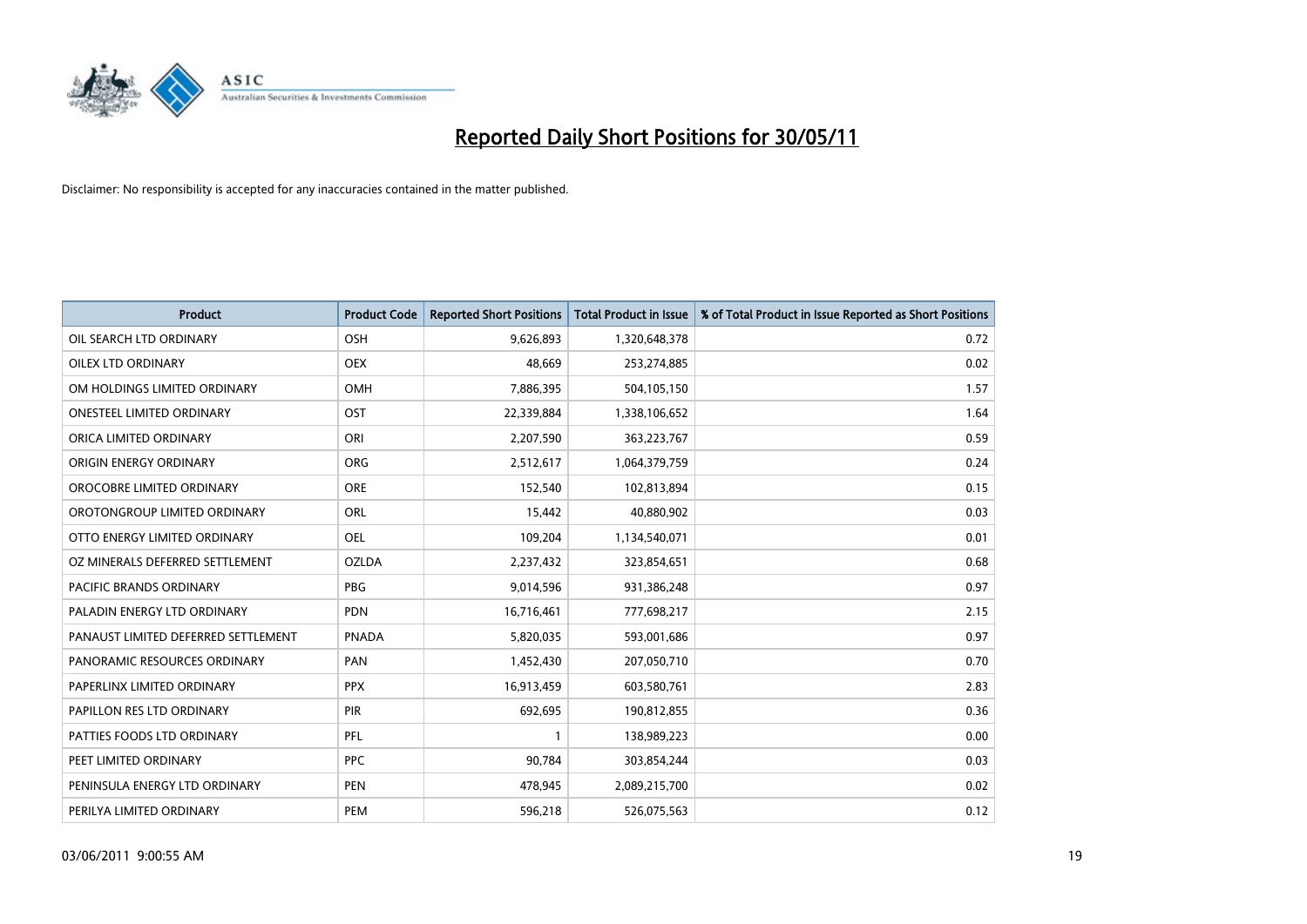

| <b>Product</b>                      | <b>Product Code</b> | <b>Reported Short Positions</b> | Total Product in Issue | % of Total Product in Issue Reported as Short Positions |
|-------------------------------------|---------------------|---------------------------------|------------------------|---------------------------------------------------------|
| OIL SEARCH LTD ORDINARY             | <b>OSH</b>          | 9,626,893                       | 1,320,648,378          | 0.72                                                    |
| <b>OILEX LTD ORDINARY</b>           | <b>OEX</b>          | 48.669                          | 253,274,885            | 0.02                                                    |
| OM HOLDINGS LIMITED ORDINARY        | <b>OMH</b>          | 7,886,395                       | 504,105,150            | 1.57                                                    |
| ONESTEEL LIMITED ORDINARY           | OST                 | 22,339,884                      | 1,338,106,652          | 1.64                                                    |
| ORICA LIMITED ORDINARY              | ORI                 | 2,207,590                       | 363,223,767            | 0.59                                                    |
| ORIGIN ENERGY ORDINARY              | <b>ORG</b>          | 2,512,617                       | 1,064,379,759          | 0.24                                                    |
| OROCOBRE LIMITED ORDINARY           | <b>ORE</b>          | 152.540                         | 102,813,894            | 0.15                                                    |
| OROTONGROUP LIMITED ORDINARY        | ORL                 | 15,442                          | 40,880,902             | 0.03                                                    |
| OTTO ENERGY LIMITED ORDINARY        | <b>OEL</b>          | 109,204                         | 1,134,540,071          | 0.01                                                    |
| OZ MINERALS DEFERRED SETTLEMENT     | <b>OZLDA</b>        | 2,237,432                       | 323,854,651            | 0.68                                                    |
| <b>PACIFIC BRANDS ORDINARY</b>      | <b>PBG</b>          | 9,014,596                       | 931,386,248            | 0.97                                                    |
| PALADIN ENERGY LTD ORDINARY         | <b>PDN</b>          | 16,716,461                      | 777,698,217            | 2.15                                                    |
| PANAUST LIMITED DEFERRED SETTLEMENT | <b>PNADA</b>        | 5,820,035                       | 593,001,686            | 0.97                                                    |
| PANORAMIC RESOURCES ORDINARY        | PAN                 | 1,452,430                       | 207,050,710            | 0.70                                                    |
| PAPERLINX LIMITED ORDINARY          | <b>PPX</b>          | 16,913,459                      | 603,580,761            | 2.83                                                    |
| PAPILLON RES LTD ORDINARY           | <b>PIR</b>          | 692,695                         | 190,812,855            | 0.36                                                    |
| PATTIES FOODS LTD ORDINARY          | PFL                 |                                 | 138,989,223            | 0.00                                                    |
| PEET LIMITED ORDINARY               | <b>PPC</b>          | 90,784                          | 303,854,244            | 0.03                                                    |
| PENINSULA ENERGY LTD ORDINARY       | <b>PEN</b>          | 478,945                         | 2,089,215,700          | 0.02                                                    |
| PERILYA LIMITED ORDINARY            | PEM                 | 596,218                         | 526,075,563            | 0.12                                                    |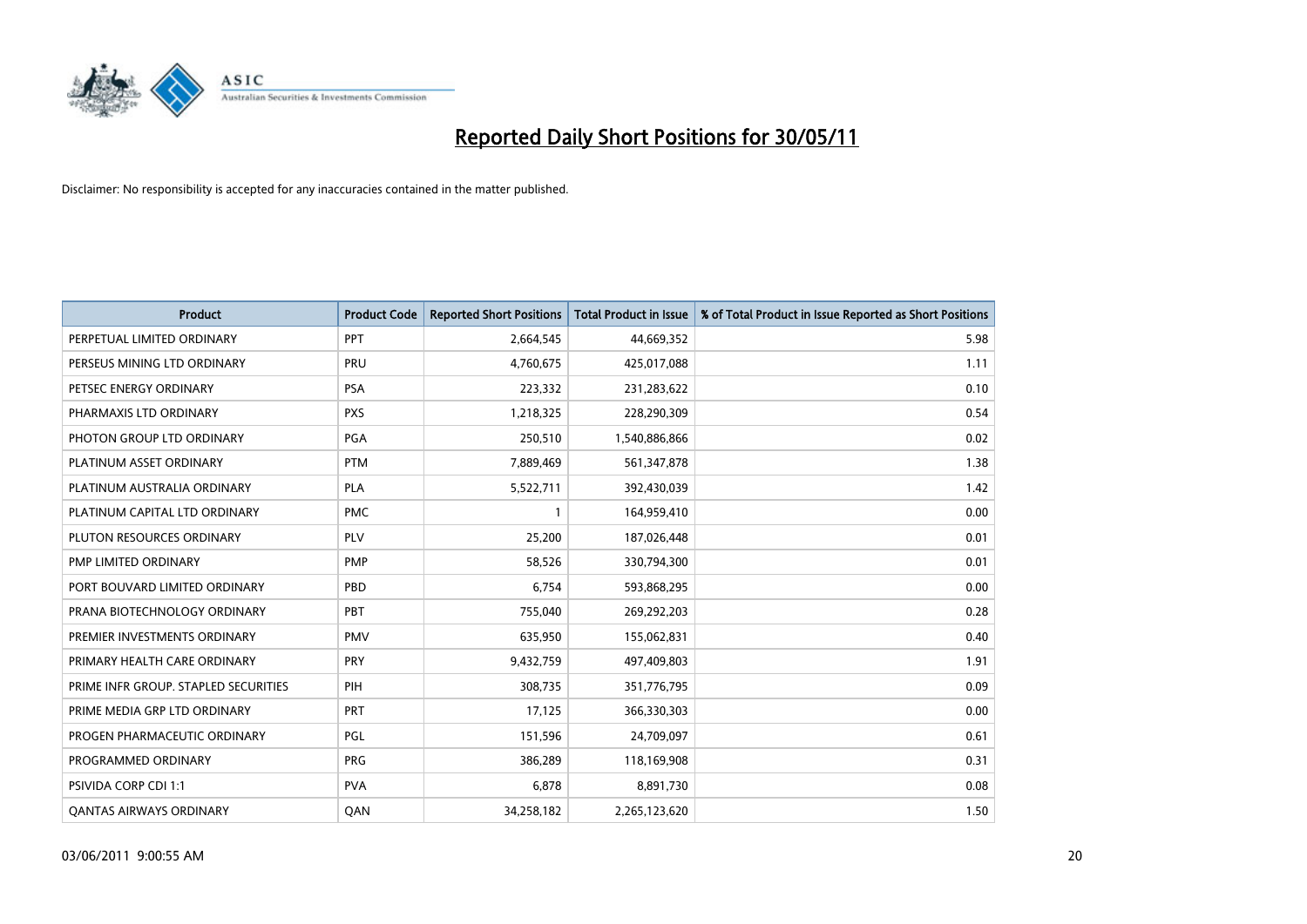

| <b>Product</b>                       | <b>Product Code</b> | <b>Reported Short Positions</b> | <b>Total Product in Issue</b> | % of Total Product in Issue Reported as Short Positions |
|--------------------------------------|---------------------|---------------------------------|-------------------------------|---------------------------------------------------------|
| PERPETUAL LIMITED ORDINARY           | PPT                 | 2,664,545                       | 44,669,352                    | 5.98                                                    |
| PERSEUS MINING LTD ORDINARY          | PRU                 | 4,760,675                       | 425,017,088                   | 1.11                                                    |
| PETSEC ENERGY ORDINARY               | <b>PSA</b>          | 223,332                         | 231,283,622                   | 0.10                                                    |
| PHARMAXIS LTD ORDINARY               | <b>PXS</b>          | 1,218,325                       | 228,290,309                   | 0.54                                                    |
| PHOTON GROUP LTD ORDINARY            | PGA                 | 250,510                         | 1,540,886,866                 | 0.02                                                    |
| PLATINUM ASSET ORDINARY              | <b>PTM</b>          | 7,889,469                       | 561,347,878                   | 1.38                                                    |
| PLATINUM AUSTRALIA ORDINARY          | <b>PLA</b>          | 5,522,711                       | 392,430,039                   | 1.42                                                    |
| PLATINUM CAPITAL LTD ORDINARY        | <b>PMC</b>          |                                 | 164,959,410                   | 0.00                                                    |
| PLUTON RESOURCES ORDINARY            | <b>PLV</b>          | 25,200                          | 187,026,448                   | 0.01                                                    |
| PMP LIMITED ORDINARY                 | <b>PMP</b>          | 58,526                          | 330,794,300                   | 0.01                                                    |
| PORT BOUVARD LIMITED ORDINARY        | PBD                 | 6,754                           | 593,868,295                   | 0.00                                                    |
| PRANA BIOTECHNOLOGY ORDINARY         | PBT                 | 755,040                         | 269,292,203                   | 0.28                                                    |
| PREMIER INVESTMENTS ORDINARY         | <b>PMV</b>          | 635,950                         | 155,062,831                   | 0.40                                                    |
| PRIMARY HEALTH CARE ORDINARY         | PRY                 | 9,432,759                       | 497,409,803                   | 1.91                                                    |
| PRIME INFR GROUP. STAPLED SECURITIES | PIH                 | 308.735                         | 351,776,795                   | 0.09                                                    |
| PRIME MEDIA GRP LTD ORDINARY         | <b>PRT</b>          | 17,125                          | 366,330,303                   | 0.00                                                    |
| PROGEN PHARMACEUTIC ORDINARY         | PGL                 | 151,596                         | 24,709,097                    | 0.61                                                    |
| PROGRAMMED ORDINARY                  | <b>PRG</b>          | 386,289                         | 118,169,908                   | 0.31                                                    |
| PSIVIDA CORP CDI 1:1                 | <b>PVA</b>          | 6,878                           | 8,891,730                     | 0.08                                                    |
| <b>QANTAS AIRWAYS ORDINARY</b>       | QAN                 | 34,258,182                      | 2,265,123,620                 | 1.50                                                    |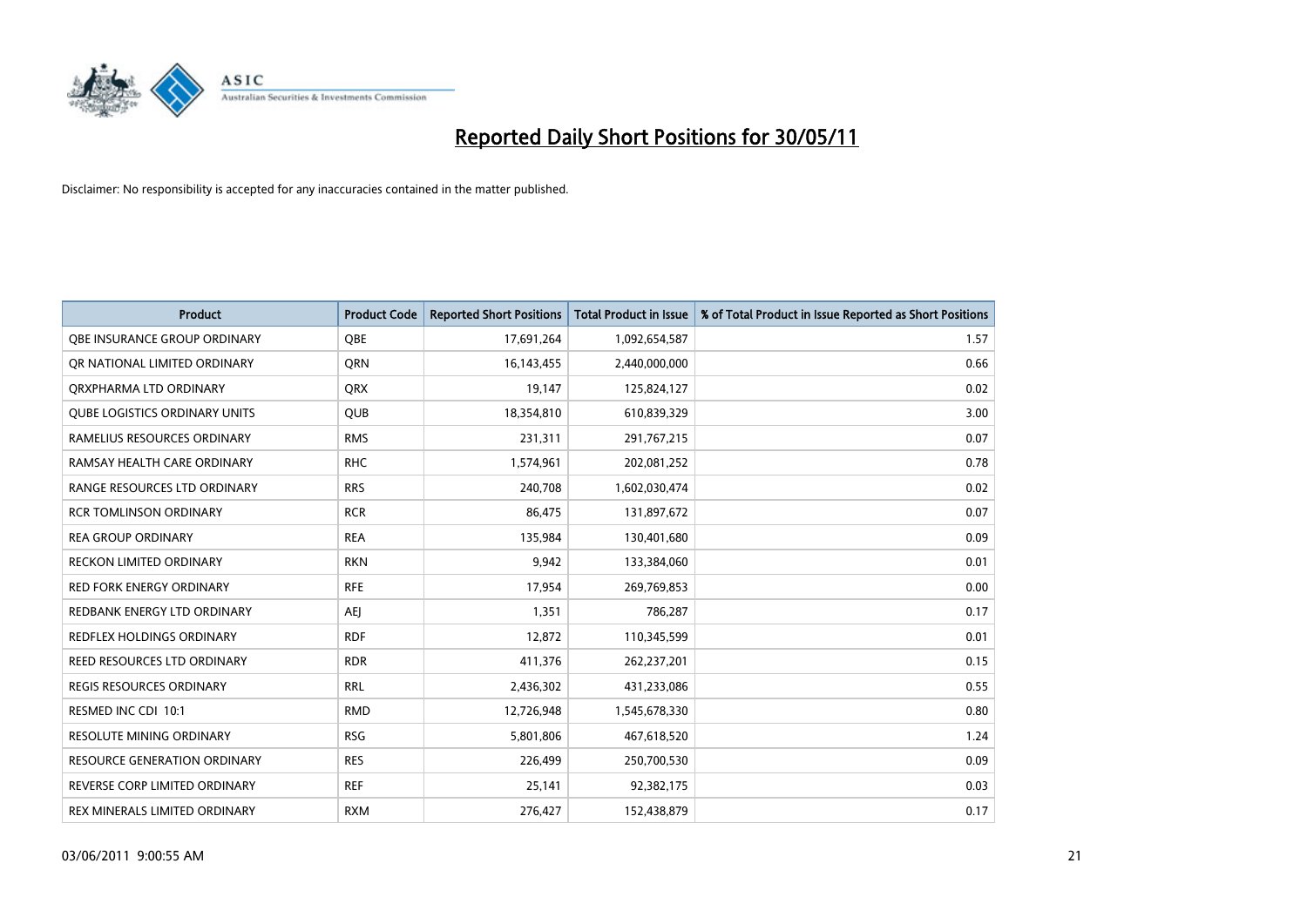

| <b>Product</b>                       | <b>Product Code</b> | <b>Reported Short Positions</b> | <b>Total Product in Issue</b> | % of Total Product in Issue Reported as Short Positions |
|--------------------------------------|---------------------|---------------------------------|-------------------------------|---------------------------------------------------------|
| OBE INSURANCE GROUP ORDINARY         | <b>OBE</b>          | 17,691,264                      | 1,092,654,587                 | 1.57                                                    |
| OR NATIONAL LIMITED ORDINARY         | <b>ORN</b>          | 16,143,455                      | 2,440,000,000                 | 0.66                                                    |
| ORXPHARMA LTD ORDINARY               | <b>ORX</b>          | 19,147                          | 125,824,127                   | 0.02                                                    |
| <b>QUBE LOGISTICS ORDINARY UNITS</b> | <b>QUB</b>          | 18,354,810                      | 610,839,329                   | 3.00                                                    |
| RAMELIUS RESOURCES ORDINARY          | <b>RMS</b>          | 231,311                         | 291,767,215                   | 0.07                                                    |
| RAMSAY HEALTH CARE ORDINARY          | <b>RHC</b>          | 1,574,961                       | 202,081,252                   | 0.78                                                    |
| <b>RANGE RESOURCES LTD ORDINARY</b>  | <b>RRS</b>          | 240.708                         | 1,602,030,474                 | 0.02                                                    |
| <b>RCR TOMLINSON ORDINARY</b>        | <b>RCR</b>          | 86,475                          | 131,897,672                   | 0.07                                                    |
| <b>REA GROUP ORDINARY</b>            | <b>REA</b>          | 135,984                         | 130,401,680                   | 0.09                                                    |
| <b>RECKON LIMITED ORDINARY</b>       | <b>RKN</b>          | 9,942                           | 133,384,060                   | 0.01                                                    |
| <b>RED FORK ENERGY ORDINARY</b>      | <b>RFE</b>          | 17,954                          | 269,769,853                   | 0.00                                                    |
| REDBANK ENERGY LTD ORDINARY          | <b>AEJ</b>          | 1,351                           | 786,287                       | 0.17                                                    |
| REDFLEX HOLDINGS ORDINARY            | <b>RDF</b>          | 12,872                          | 110,345,599                   | 0.01                                                    |
| <b>REED RESOURCES LTD ORDINARY</b>   | <b>RDR</b>          | 411,376                         | 262,237,201                   | 0.15                                                    |
| <b>REGIS RESOURCES ORDINARY</b>      | <b>RRL</b>          | 2,436,302                       | 431,233,086                   | 0.55                                                    |
| RESMED INC CDI 10:1                  | <b>RMD</b>          | 12,726,948                      | 1,545,678,330                 | 0.80                                                    |
| <b>RESOLUTE MINING ORDINARY</b>      | <b>RSG</b>          | 5,801,806                       | 467,618,520                   | 1.24                                                    |
| RESOURCE GENERATION ORDINARY         | <b>RES</b>          | 226,499                         | 250,700,530                   | 0.09                                                    |
| REVERSE CORP LIMITED ORDINARY        | <b>REF</b>          | 25,141                          | 92,382,175                    | 0.03                                                    |
| REX MINERALS LIMITED ORDINARY        | <b>RXM</b>          | 276.427                         | 152,438,879                   | 0.17                                                    |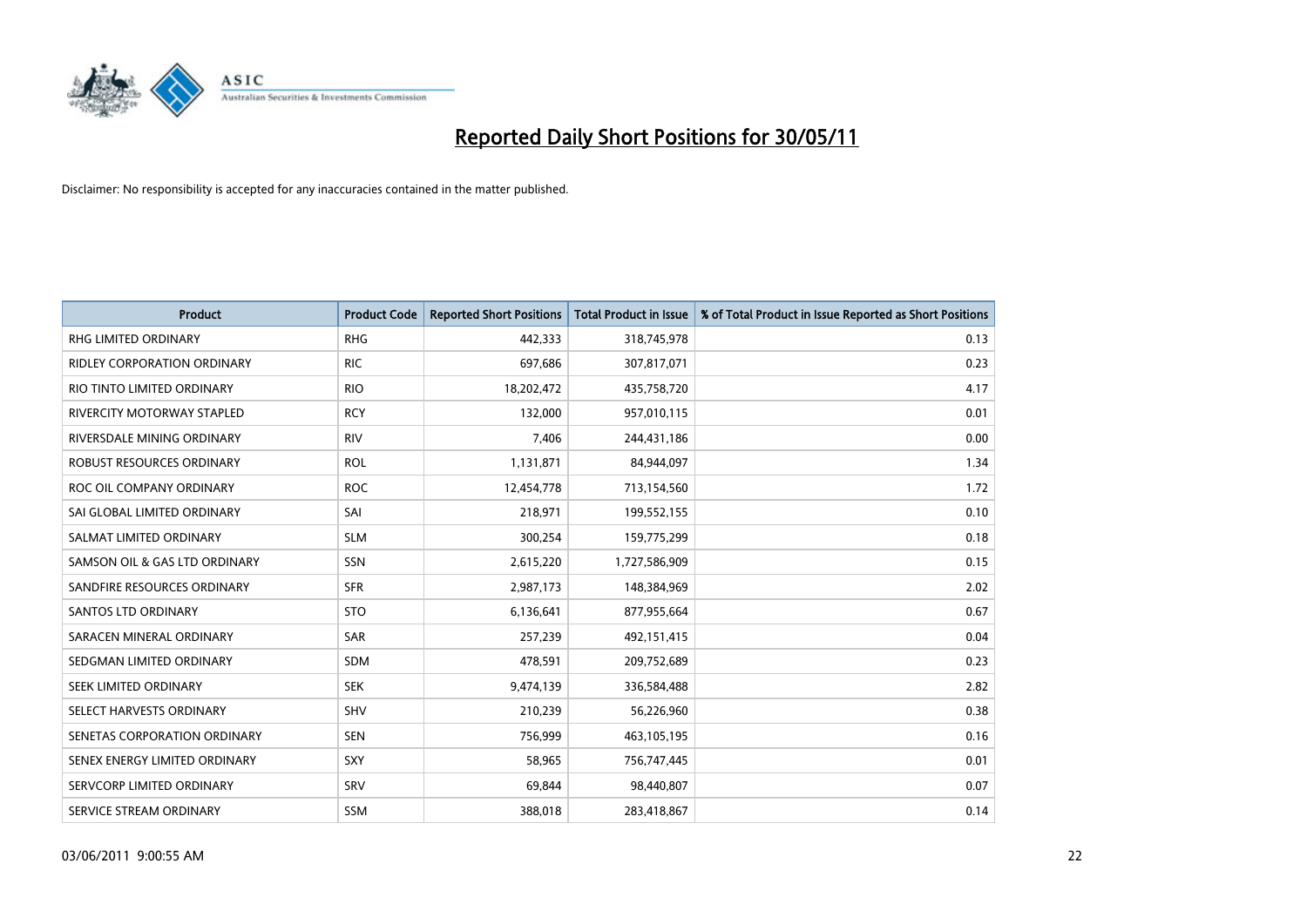

| <b>Product</b>                   | <b>Product Code</b> | <b>Reported Short Positions</b> | Total Product in Issue | % of Total Product in Issue Reported as Short Positions |
|----------------------------------|---------------------|---------------------------------|------------------------|---------------------------------------------------------|
| <b>RHG LIMITED ORDINARY</b>      | <b>RHG</b>          | 442,333                         | 318,745,978            | 0.13                                                    |
| RIDLEY CORPORATION ORDINARY      | <b>RIC</b>          | 697,686                         | 307,817,071            | 0.23                                                    |
| RIO TINTO LIMITED ORDINARY       | <b>RIO</b>          | 18,202,472                      | 435,758,720            | 4.17                                                    |
| RIVERCITY MOTORWAY STAPLED       | <b>RCY</b>          | 132,000                         | 957,010,115            | 0.01                                                    |
| RIVERSDALE MINING ORDINARY       | <b>RIV</b>          | 7,406                           | 244,431,186            | 0.00                                                    |
| <b>ROBUST RESOURCES ORDINARY</b> | <b>ROL</b>          | 1,131,871                       | 84,944,097             | 1.34                                                    |
| ROC OIL COMPANY ORDINARY         | <b>ROC</b>          | 12,454,778                      | 713,154,560            | 1.72                                                    |
| SAI GLOBAL LIMITED ORDINARY      | SAI                 | 218,971                         | 199,552,155            | 0.10                                                    |
| SALMAT LIMITED ORDINARY          | <b>SLM</b>          | 300,254                         | 159,775,299            | 0.18                                                    |
| SAMSON OIL & GAS LTD ORDINARY    | SSN                 | 2,615,220                       | 1,727,586,909          | 0.15                                                    |
| SANDFIRE RESOURCES ORDINARY      | <b>SFR</b>          | 2,987,173                       | 148,384,969            | 2.02                                                    |
| <b>SANTOS LTD ORDINARY</b>       | <b>STO</b>          | 6,136,641                       | 877,955,664            | 0.67                                                    |
| SARACEN MINERAL ORDINARY         | <b>SAR</b>          | 257,239                         | 492,151,415            | 0.04                                                    |
| SEDGMAN LIMITED ORDINARY         | <b>SDM</b>          | 478,591                         | 209,752,689            | 0.23                                                    |
| SEEK LIMITED ORDINARY            | <b>SEK</b>          | 9,474,139                       | 336,584,488            | 2.82                                                    |
| SELECT HARVESTS ORDINARY         | <b>SHV</b>          | 210,239                         | 56,226,960             | 0.38                                                    |
| SENETAS CORPORATION ORDINARY     | <b>SEN</b>          | 756,999                         | 463,105,195            | 0.16                                                    |
| SENEX ENERGY LIMITED ORDINARY    | SXY                 | 58,965                          | 756,747,445            | 0.01                                                    |
| SERVCORP LIMITED ORDINARY        | SRV                 | 69,844                          | 98,440,807             | 0.07                                                    |
| SERVICE STREAM ORDINARY          | <b>SSM</b>          | 388,018                         | 283,418,867            | 0.14                                                    |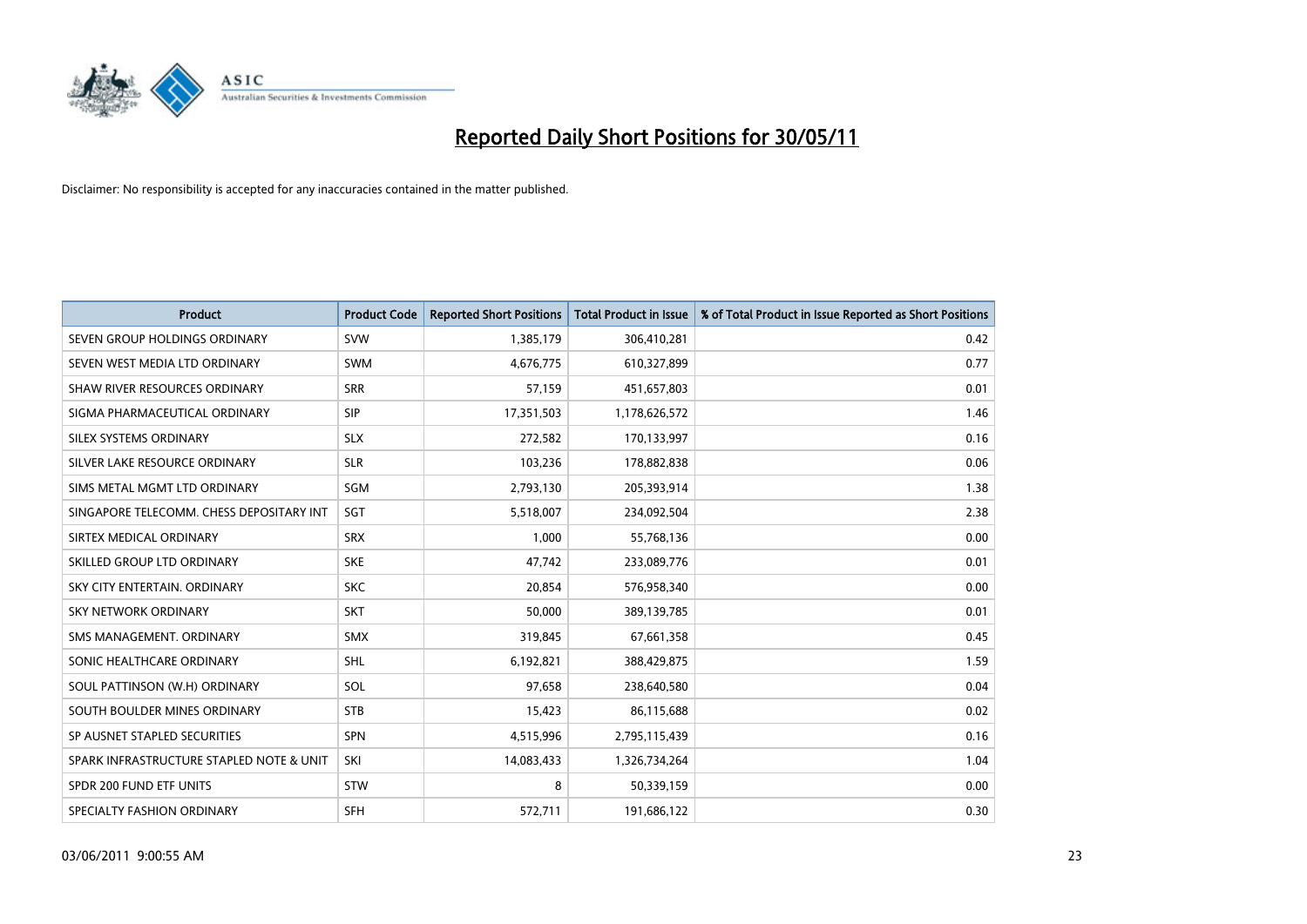

| <b>Product</b>                           | <b>Product Code</b> | <b>Reported Short Positions</b> | <b>Total Product in Issue</b> | % of Total Product in Issue Reported as Short Positions |
|------------------------------------------|---------------------|---------------------------------|-------------------------------|---------------------------------------------------------|
| SEVEN GROUP HOLDINGS ORDINARY            | <b>SVW</b>          | 1,385,179                       | 306,410,281                   | 0.42                                                    |
| SEVEN WEST MEDIA LTD ORDINARY            | <b>SWM</b>          | 4,676,775                       | 610,327,899                   | 0.77                                                    |
| SHAW RIVER RESOURCES ORDINARY            | <b>SRR</b>          | 57,159                          | 451,657,803                   | 0.01                                                    |
| SIGMA PHARMACEUTICAL ORDINARY            | SIP                 | 17,351,503                      | 1,178,626,572                 | 1.46                                                    |
| SILEX SYSTEMS ORDINARY                   | <b>SLX</b>          | 272,582                         | 170,133,997                   | 0.16                                                    |
| SILVER LAKE RESOURCE ORDINARY            | <b>SLR</b>          | 103,236                         | 178,882,838                   | 0.06                                                    |
| SIMS METAL MGMT LTD ORDINARY             | SGM                 | 2,793,130                       | 205,393,914                   | 1.38                                                    |
| SINGAPORE TELECOMM. CHESS DEPOSITARY INT | SGT                 | 5,518,007                       | 234,092,504                   | 2.38                                                    |
| SIRTEX MEDICAL ORDINARY                  | <b>SRX</b>          | 1,000                           | 55,768,136                    | 0.00                                                    |
| SKILLED GROUP LTD ORDINARY               | <b>SKE</b>          | 47,742                          | 233,089,776                   | 0.01                                                    |
| SKY CITY ENTERTAIN, ORDINARY             | <b>SKC</b>          | 20,854                          | 576,958,340                   | 0.00                                                    |
| <b>SKY NETWORK ORDINARY</b>              | <b>SKT</b>          | 50,000                          | 389,139,785                   | 0.01                                                    |
| SMS MANAGEMENT, ORDINARY                 | <b>SMX</b>          | 319,845                         | 67,661,358                    | 0.45                                                    |
| SONIC HEALTHCARE ORDINARY                | <b>SHL</b>          | 6,192,821                       | 388,429,875                   | 1.59                                                    |
| SOUL PATTINSON (W.H) ORDINARY            | SOL                 | 97,658                          | 238,640,580                   | 0.04                                                    |
| SOUTH BOULDER MINES ORDINARY             | <b>STB</b>          | 15,423                          | 86,115,688                    | 0.02                                                    |
| SP AUSNET STAPLED SECURITIES             | <b>SPN</b>          | 4,515,996                       | 2,795,115,439                 | 0.16                                                    |
| SPARK INFRASTRUCTURE STAPLED NOTE & UNIT | SKI                 | 14,083,433                      | 1,326,734,264                 | 1.04                                                    |
| SPDR 200 FUND ETF UNITS                  | <b>STW</b>          | 8                               | 50,339,159                    | 0.00                                                    |
| SPECIALTY FASHION ORDINARY               | <b>SFH</b>          | 572,711                         | 191,686,122                   | 0.30                                                    |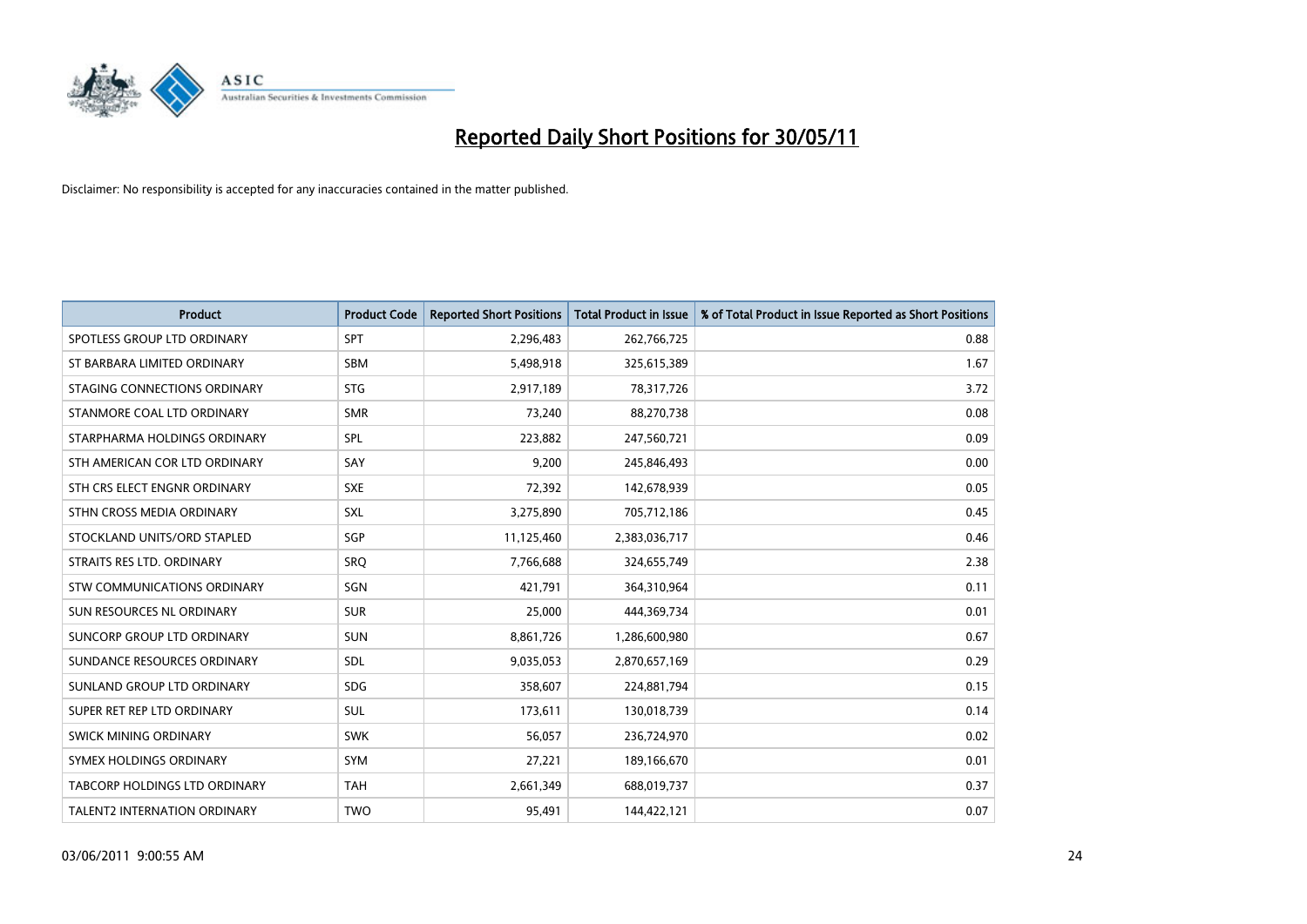

| <b>Product</b>                      | <b>Product Code</b> | <b>Reported Short Positions</b> | Total Product in Issue | % of Total Product in Issue Reported as Short Positions |
|-------------------------------------|---------------------|---------------------------------|------------------------|---------------------------------------------------------|
| SPOTLESS GROUP LTD ORDINARY         | <b>SPT</b>          | 2,296,483                       | 262,766,725            | 0.88                                                    |
| ST BARBARA LIMITED ORDINARY         | <b>SBM</b>          | 5,498,918                       | 325,615,389            | 1.67                                                    |
| STAGING CONNECTIONS ORDINARY        | <b>STG</b>          | 2,917,189                       | 78,317,726             | 3.72                                                    |
| STANMORE COAL LTD ORDINARY          | <b>SMR</b>          | 73,240                          | 88,270,738             | 0.08                                                    |
| STARPHARMA HOLDINGS ORDINARY        | SPL                 | 223,882                         | 247,560,721            | 0.09                                                    |
| STH AMERICAN COR LTD ORDINARY       | SAY                 | 9,200                           | 245,846,493            | 0.00                                                    |
| STH CRS ELECT ENGNR ORDINARY        | <b>SXE</b>          | 72,392                          | 142,678,939            | 0.05                                                    |
| STHN CROSS MEDIA ORDINARY           | <b>SXL</b>          | 3,275,890                       | 705,712,186            | 0.45                                                    |
| STOCKLAND UNITS/ORD STAPLED         | <b>SGP</b>          | 11,125,460                      | 2,383,036,717          | 0.46                                                    |
| STRAITS RES LTD. ORDINARY           | SRO                 | 7,766,688                       | 324,655,749            | 2.38                                                    |
| STW COMMUNICATIONS ORDINARY         | SGN                 | 421,791                         | 364,310,964            | 0.11                                                    |
| SUN RESOURCES NL ORDINARY           | <b>SUR</b>          | 25,000                          | 444,369,734            | 0.01                                                    |
| SUNCORP GROUP LTD ORDINARY          | <b>SUN</b>          | 8,861,726                       | 1,286,600,980          | 0.67                                                    |
| SUNDANCE RESOURCES ORDINARY         | <b>SDL</b>          | 9,035,053                       | 2,870,657,169          | 0.29                                                    |
| SUNLAND GROUP LTD ORDINARY          | <b>SDG</b>          | 358,607                         | 224,881,794            | 0.15                                                    |
| SUPER RET REP LTD ORDINARY          | <b>SUL</b>          | 173,611                         | 130,018,739            | 0.14                                                    |
| SWICK MINING ORDINARY               | <b>SWK</b>          | 56,057                          | 236,724,970            | 0.02                                                    |
| SYMEX HOLDINGS ORDINARY             | <b>SYM</b>          | 27,221                          | 189,166,670            | 0.01                                                    |
| TABCORP HOLDINGS LTD ORDINARY       | <b>TAH</b>          | 2,661,349                       | 688,019,737            | 0.37                                                    |
| <b>TALENT2 INTERNATION ORDINARY</b> | <b>TWO</b>          | 95,491                          | 144,422,121            | 0.07                                                    |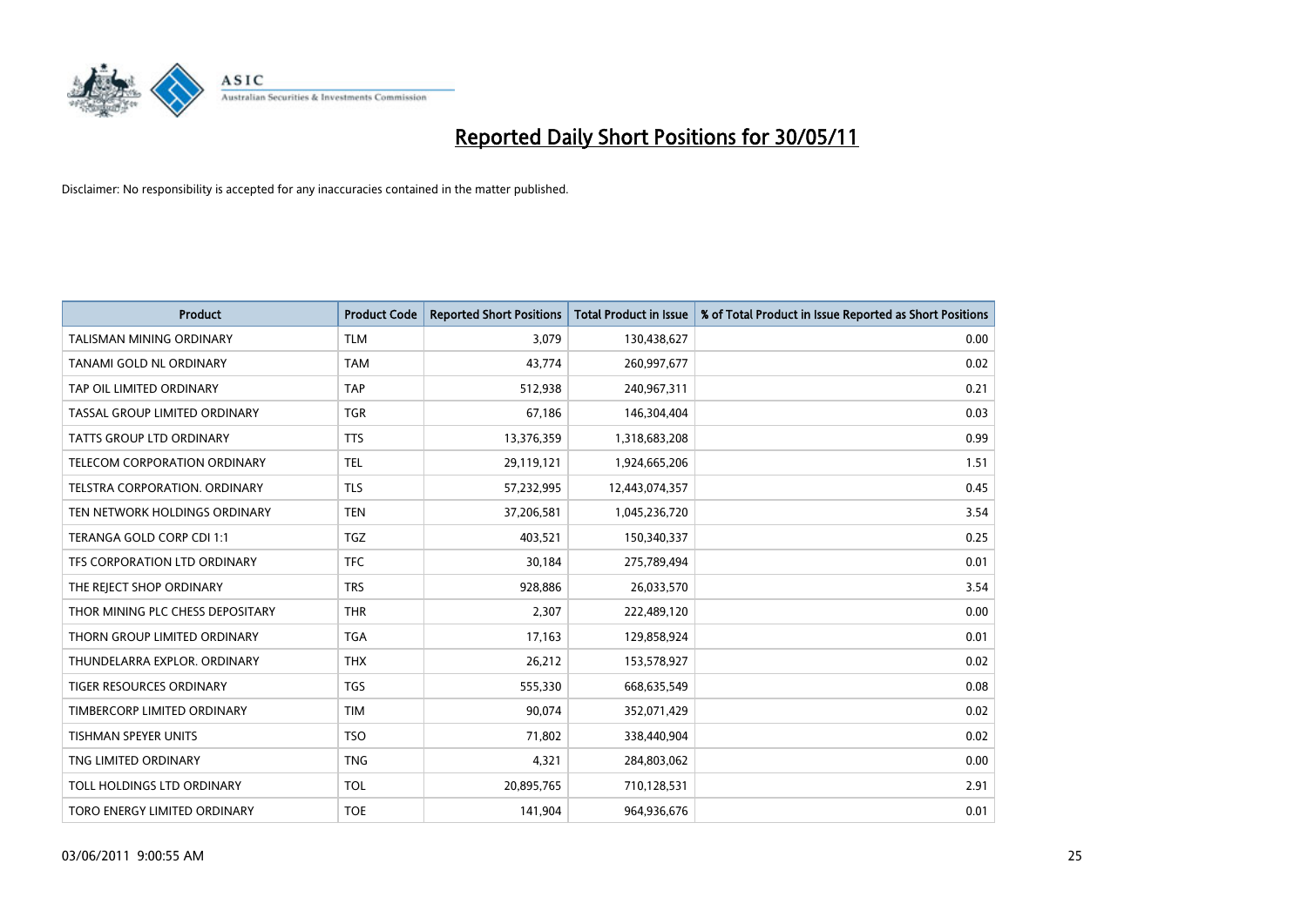

| <b>Product</b>                      | <b>Product Code</b> | <b>Reported Short Positions</b> | <b>Total Product in Issue</b> | % of Total Product in Issue Reported as Short Positions |
|-------------------------------------|---------------------|---------------------------------|-------------------------------|---------------------------------------------------------|
| <b>TALISMAN MINING ORDINARY</b>     | <b>TLM</b>          | 3,079                           | 130,438,627                   | 0.00                                                    |
| TANAMI GOLD NL ORDINARY             | <b>TAM</b>          | 43,774                          | 260,997,677                   | 0.02                                                    |
| TAP OIL LIMITED ORDINARY            | <b>TAP</b>          | 512,938                         | 240,967,311                   | 0.21                                                    |
| TASSAL GROUP LIMITED ORDINARY       | <b>TGR</b>          | 67,186                          | 146,304,404                   | 0.03                                                    |
| <b>TATTS GROUP LTD ORDINARY</b>     | <b>TTS</b>          | 13,376,359                      | 1,318,683,208                 | 0.99                                                    |
| <b>TELECOM CORPORATION ORDINARY</b> | <b>TEL</b>          | 29,119,121                      | 1,924,665,206                 | 1.51                                                    |
| TELSTRA CORPORATION, ORDINARY       | <b>TLS</b>          | 57,232,995                      | 12,443,074,357                | 0.45                                                    |
| TEN NETWORK HOLDINGS ORDINARY       | <b>TEN</b>          | 37,206,581                      | 1,045,236,720                 | 3.54                                                    |
| TERANGA GOLD CORP CDI 1:1           | <b>TGZ</b>          | 403,521                         | 150,340,337                   | 0.25                                                    |
| TFS CORPORATION LTD ORDINARY        | <b>TFC</b>          | 30,184                          | 275,789,494                   | 0.01                                                    |
| THE REJECT SHOP ORDINARY            | <b>TRS</b>          | 928,886                         | 26,033,570                    | 3.54                                                    |
| THOR MINING PLC CHESS DEPOSITARY    | <b>THR</b>          | 2,307                           | 222,489,120                   | 0.00                                                    |
| THORN GROUP LIMITED ORDINARY        | <b>TGA</b>          | 17,163                          | 129,858,924                   | 0.01                                                    |
| THUNDELARRA EXPLOR. ORDINARY        | <b>THX</b>          | 26,212                          | 153,578,927                   | 0.02                                                    |
| <b>TIGER RESOURCES ORDINARY</b>     | <b>TGS</b>          | 555,330                         | 668,635,549                   | 0.08                                                    |
| TIMBERCORP LIMITED ORDINARY         | <b>TIM</b>          | 90,074                          | 352,071,429                   | 0.02                                                    |
| TISHMAN SPEYER UNITS                | <b>TSO</b>          | 71,802                          | 338,440,904                   | 0.02                                                    |
| TNG LIMITED ORDINARY                | <b>TNG</b>          | 4,321                           | 284,803,062                   | 0.00                                                    |
| TOLL HOLDINGS LTD ORDINARY          | <b>TOL</b>          | 20,895,765                      | 710,128,531                   | 2.91                                                    |
| TORO ENERGY LIMITED ORDINARY        | <b>TOE</b>          | 141,904                         | 964,936,676                   | 0.01                                                    |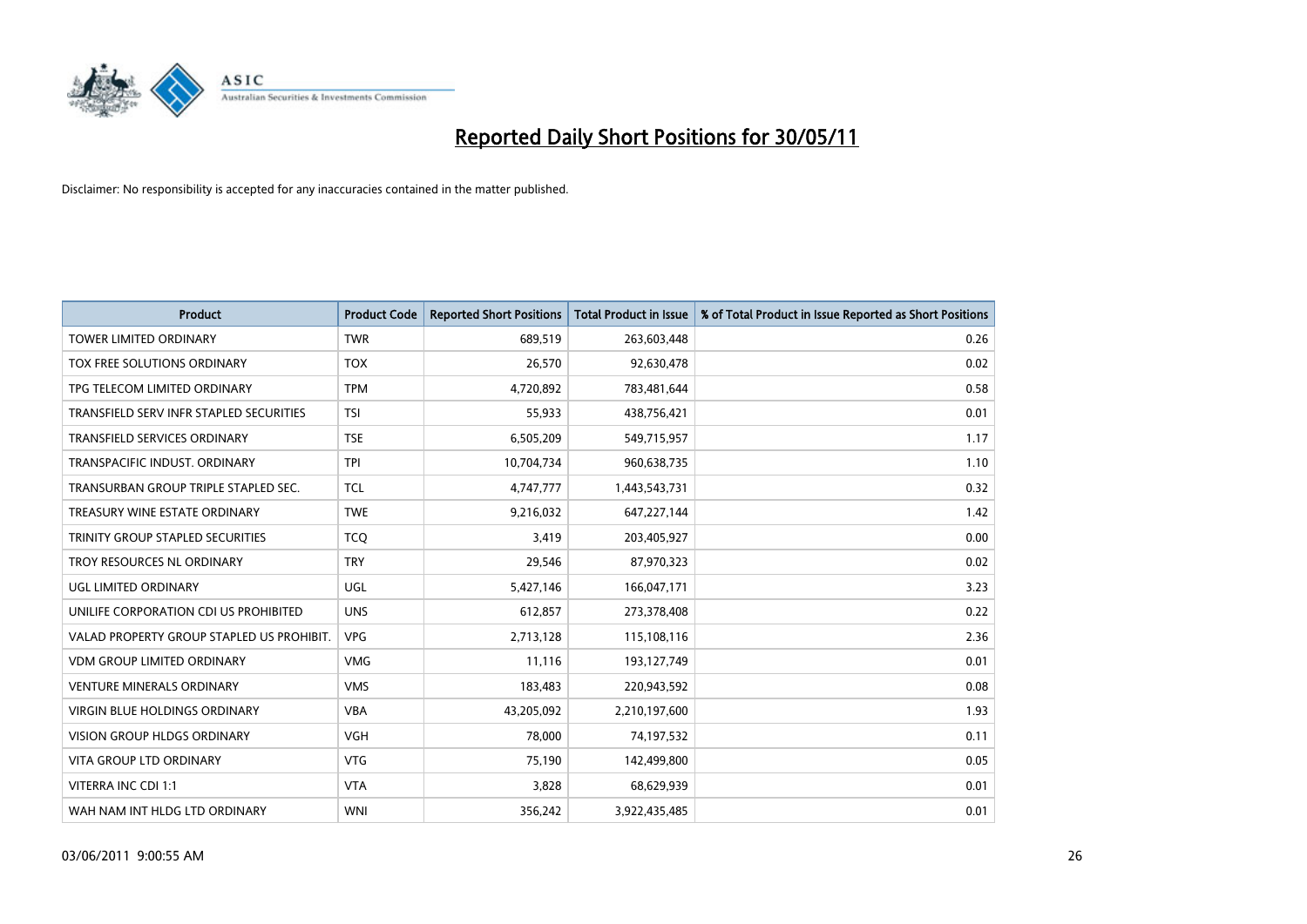

| <b>Product</b>                            | <b>Product Code</b> | <b>Reported Short Positions</b> | Total Product in Issue | % of Total Product in Issue Reported as Short Positions |
|-------------------------------------------|---------------------|---------------------------------|------------------------|---------------------------------------------------------|
| <b>TOWER LIMITED ORDINARY</b>             | <b>TWR</b>          | 689,519                         | 263,603,448            | 0.26                                                    |
| TOX FREE SOLUTIONS ORDINARY               | <b>TOX</b>          | 26,570                          | 92,630,478             | 0.02                                                    |
| TPG TELECOM LIMITED ORDINARY              | <b>TPM</b>          | 4,720,892                       | 783,481,644            | 0.58                                                    |
| TRANSFIELD SERV INFR STAPLED SECURITIES   | <b>TSI</b>          | 55,933                          | 438,756,421            | 0.01                                                    |
| <b>TRANSFIELD SERVICES ORDINARY</b>       | <b>TSE</b>          | 6,505,209                       | 549,715,957            | 1.17                                                    |
| TRANSPACIFIC INDUST, ORDINARY             | <b>TPI</b>          | 10,704,734                      | 960,638,735            | 1.10                                                    |
| TRANSURBAN GROUP TRIPLE STAPLED SEC.      | <b>TCL</b>          | 4,747,777                       | 1,443,543,731          | 0.32                                                    |
| TREASURY WINE ESTATE ORDINARY             | <b>TWE</b>          | 9,216,032                       | 647,227,144            | 1.42                                                    |
| TRINITY GROUP STAPLED SECURITIES          | <b>TCO</b>          | 3,419                           | 203,405,927            | 0.00                                                    |
| TROY RESOURCES NL ORDINARY                | <b>TRY</b>          | 29,546                          | 87,970,323             | 0.02                                                    |
| UGL LIMITED ORDINARY                      | <b>UGL</b>          | 5,427,146                       | 166,047,171            | 3.23                                                    |
| UNILIFE CORPORATION CDI US PROHIBITED     | <b>UNS</b>          | 612,857                         | 273,378,408            | 0.22                                                    |
| VALAD PROPERTY GROUP STAPLED US PROHIBIT. | <b>VPG</b>          | 2,713,128                       | 115,108,116            | 2.36                                                    |
| <b>VDM GROUP LIMITED ORDINARY</b>         | <b>VMG</b>          | 11,116                          | 193,127,749            | 0.01                                                    |
| <b>VENTURE MINERALS ORDINARY</b>          | <b>VMS</b>          | 183,483                         | 220,943,592            | 0.08                                                    |
| VIRGIN BLUE HOLDINGS ORDINARY             | <b>VBA</b>          | 43,205,092                      | 2,210,197,600          | 1.93                                                    |
| VISION GROUP HLDGS ORDINARY               | <b>VGH</b>          | 78,000                          | 74,197,532             | 0.11                                                    |
| <b>VITA GROUP LTD ORDINARY</b>            | <b>VTG</b>          | 75,190                          | 142,499,800            | 0.05                                                    |
| VITERRA INC CDI 1:1                       | <b>VTA</b>          | 3,828                           | 68,629,939             | 0.01                                                    |
| WAH NAM INT HLDG LTD ORDINARY             | <b>WNI</b>          | 356,242                         | 3,922,435,485          | 0.01                                                    |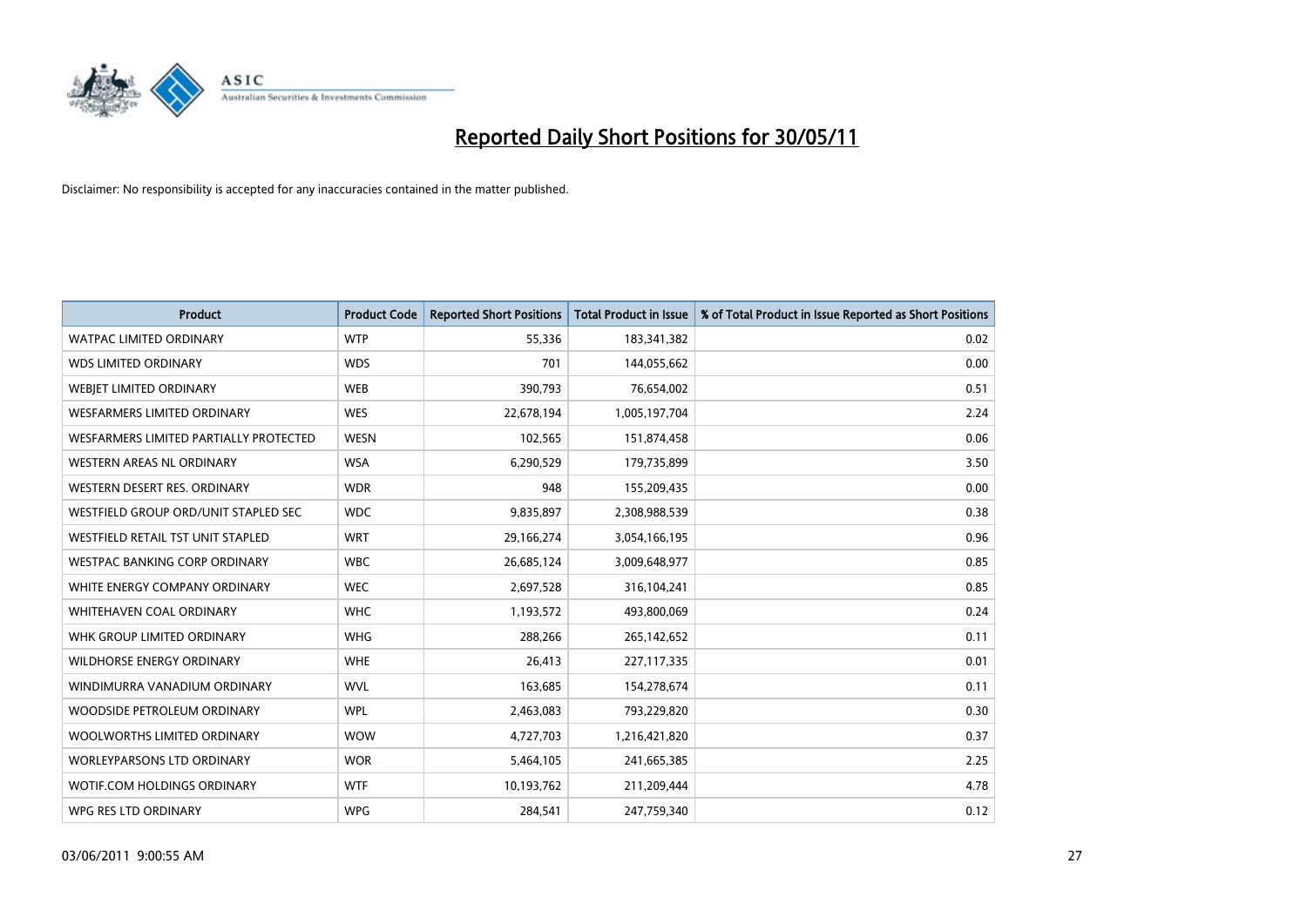

| <b>Product</b>                         | <b>Product Code</b> | <b>Reported Short Positions</b> | <b>Total Product in Issue</b> | % of Total Product in Issue Reported as Short Positions |
|----------------------------------------|---------------------|---------------------------------|-------------------------------|---------------------------------------------------------|
| <b>WATPAC LIMITED ORDINARY</b>         | <b>WTP</b>          | 55.336                          | 183,341,382                   | 0.02                                                    |
| <b>WDS LIMITED ORDINARY</b>            | <b>WDS</b>          | 701                             | 144,055,662                   | 0.00                                                    |
| WEBIET LIMITED ORDINARY                | <b>WEB</b>          | 390,793                         | 76,654,002                    | 0.51                                                    |
| <b>WESFARMERS LIMITED ORDINARY</b>     | <b>WES</b>          | 22,678,194                      | 1,005,197,704                 | 2.24                                                    |
| WESFARMERS LIMITED PARTIALLY PROTECTED | <b>WESN</b>         | 102,565                         | 151,874,458                   | 0.06                                                    |
| <b>WESTERN AREAS NL ORDINARY</b>       | <b>WSA</b>          | 6,290,529                       | 179,735,899                   | 3.50                                                    |
| WESTERN DESERT RES. ORDINARY           | <b>WDR</b>          | 948                             | 155,209,435                   | 0.00                                                    |
| WESTFIELD GROUP ORD/UNIT STAPLED SEC   | <b>WDC</b>          | 9,835,897                       | 2,308,988,539                 | 0.38                                                    |
| WESTFIELD RETAIL TST UNIT STAPLED      | <b>WRT</b>          | 29,166,274                      | 3,054,166,195                 | 0.96                                                    |
| <b>WESTPAC BANKING CORP ORDINARY</b>   | <b>WBC</b>          | 26,685,124                      | 3,009,648,977                 | 0.85                                                    |
| WHITE ENERGY COMPANY ORDINARY          | <b>WEC</b>          | 2,697,528                       | 316,104,241                   | 0.85                                                    |
| WHITEHAVEN COAL ORDINARY               | <b>WHC</b>          | 1,193,572                       | 493,800,069                   | 0.24                                                    |
| WHK GROUP LIMITED ORDINARY             | <b>WHG</b>          | 288,266                         | 265,142,652                   | 0.11                                                    |
| <b>WILDHORSE ENERGY ORDINARY</b>       | <b>WHE</b>          | 26,413                          | 227,117,335                   | 0.01                                                    |
| WINDIMURRA VANADIUM ORDINARY           | <b>WVL</b>          | 163,685                         | 154,278,674                   | 0.11                                                    |
| WOODSIDE PETROLEUM ORDINARY            | <b>WPL</b>          | 2,463,083                       | 793,229,820                   | 0.30                                                    |
| WOOLWORTHS LIMITED ORDINARY            | <b>WOW</b>          | 4,727,703                       | 1,216,421,820                 | 0.37                                                    |
| WORLEYPARSONS LTD ORDINARY             | <b>WOR</b>          | 5,464,105                       | 241,665,385                   | 2.25                                                    |
| WOTIF.COM HOLDINGS ORDINARY            | <b>WTF</b>          | 10,193,762                      | 211,209,444                   | 4.78                                                    |
| WPG RES LTD ORDINARY                   | <b>WPG</b>          | 284,541                         | 247,759,340                   | 0.12                                                    |